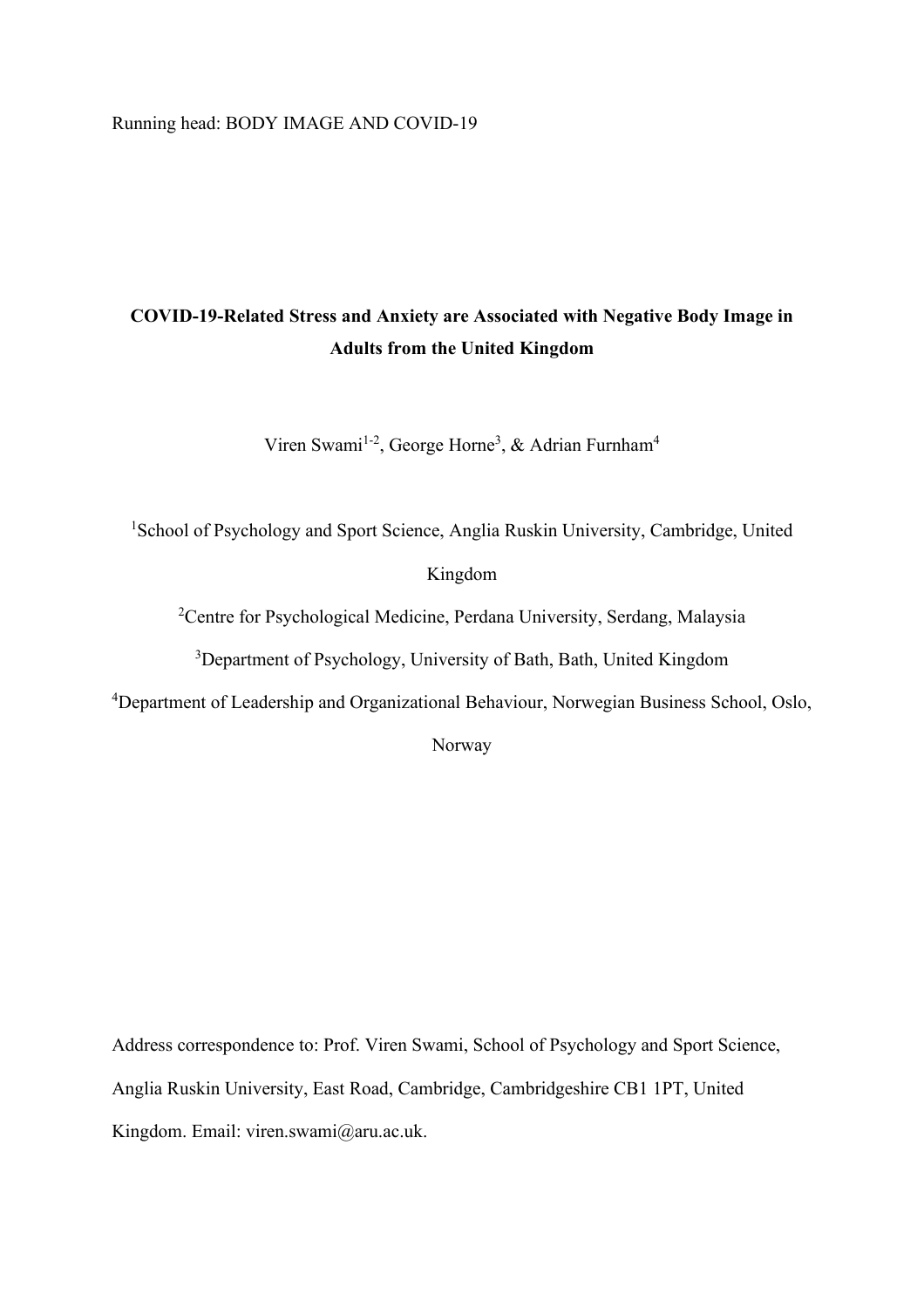Running head: BODY IMAGE AND COVID-19

# **COVID-19-Related Stress and Anxiety are Associated with Negative Body Image in Adults from the United Kingdom**

Viren Swami<sup>1-2</sup>, George Horne<sup>3</sup>, & Adrian Furnham<sup>4</sup>

<sup>1</sup>School of Psychology and Sport Science, Anglia Ruskin University, Cambridge, United

Kingdom

<sup>2</sup>Centre for Psychological Medicine, Perdana University, Serdang, Malaysia

<sup>3</sup>Department of Psychology, University of Bath, Bath, United Kingdom

<sup>4</sup>Department of Leadership and Organizational Behaviour, Norwegian Business School, Oslo,

Norway

Address correspondence to: Prof. Viren Swami, School of Psychology and Sport Science, Anglia Ruskin University, East Road, Cambridge, Cambridgeshire CB1 1PT, United Kingdom. Email: viren.swami@aru.ac.uk.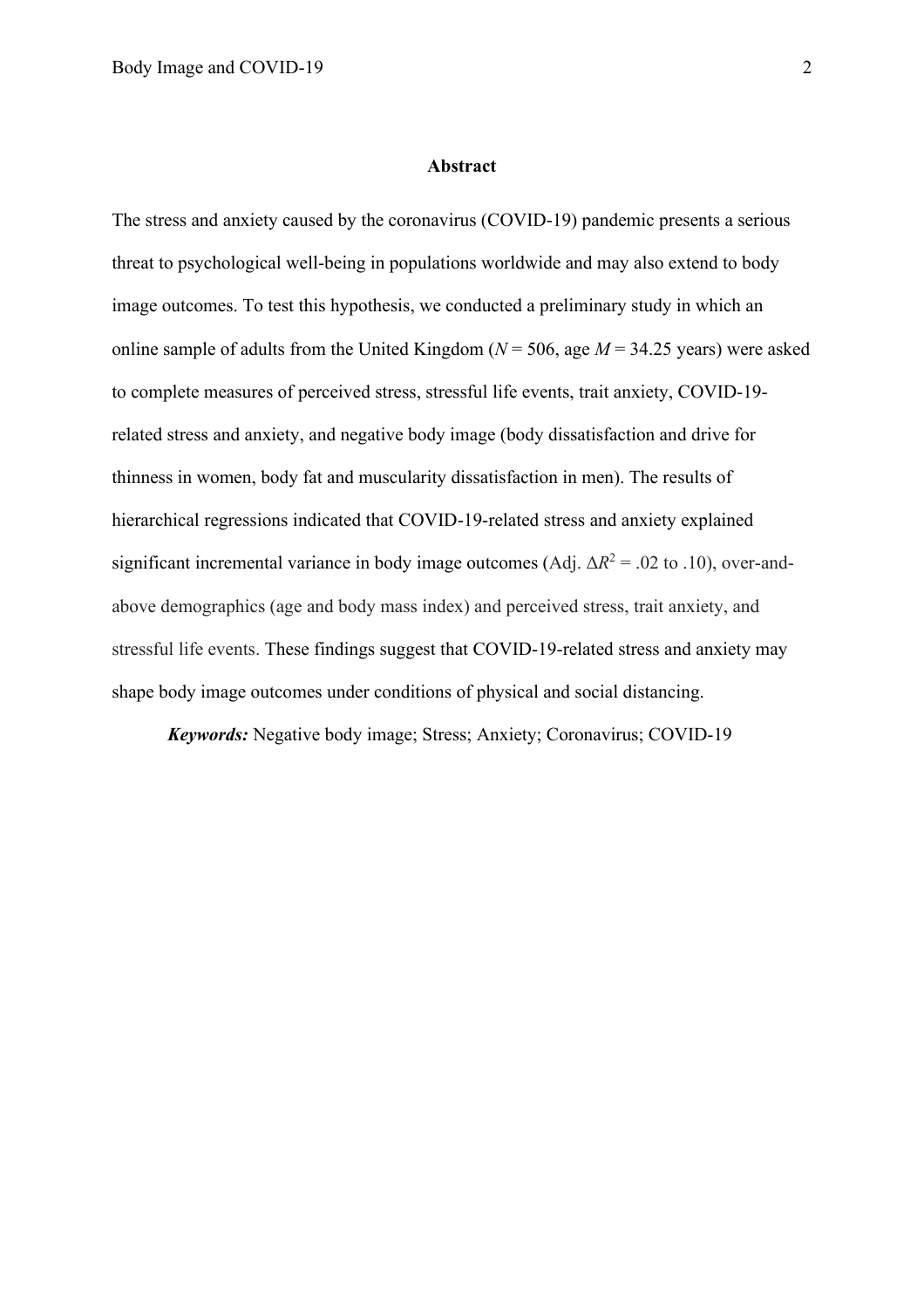#### **Abstract**

The stress and anxiety caused by the coronavirus (COVID-19) pandemic presents a serious threat to psychological well-being in populations worldwide and may also extend to body image outcomes. To test this hypothesis, we conducted a preliminary study in which an online sample of adults from the United Kingdom (*N* = 506, age *M* = 34.25 years) were asked to complete measures of perceived stress, stressful life events, trait anxiety, COVID-19 related stress and anxiety, and negative body image (body dissatisfaction and drive for thinness in women, body fat and muscularity dissatisfaction in men). The results of hierarchical regressions indicated that COVID-19-related stress and anxiety explained significant incremental variance in body image outcomes (Adj.  $\Delta R^2 = .02$  to .10), over-andabove demographics (age and body mass index) and perceived stress, trait anxiety, and stressful life events. These findings suggest that COVID-19-related stress and anxiety may shape body image outcomes under conditions of physical and social distancing.

*Keywords:* Negative body image; Stress; Anxiety; Coronavirus; COVID-19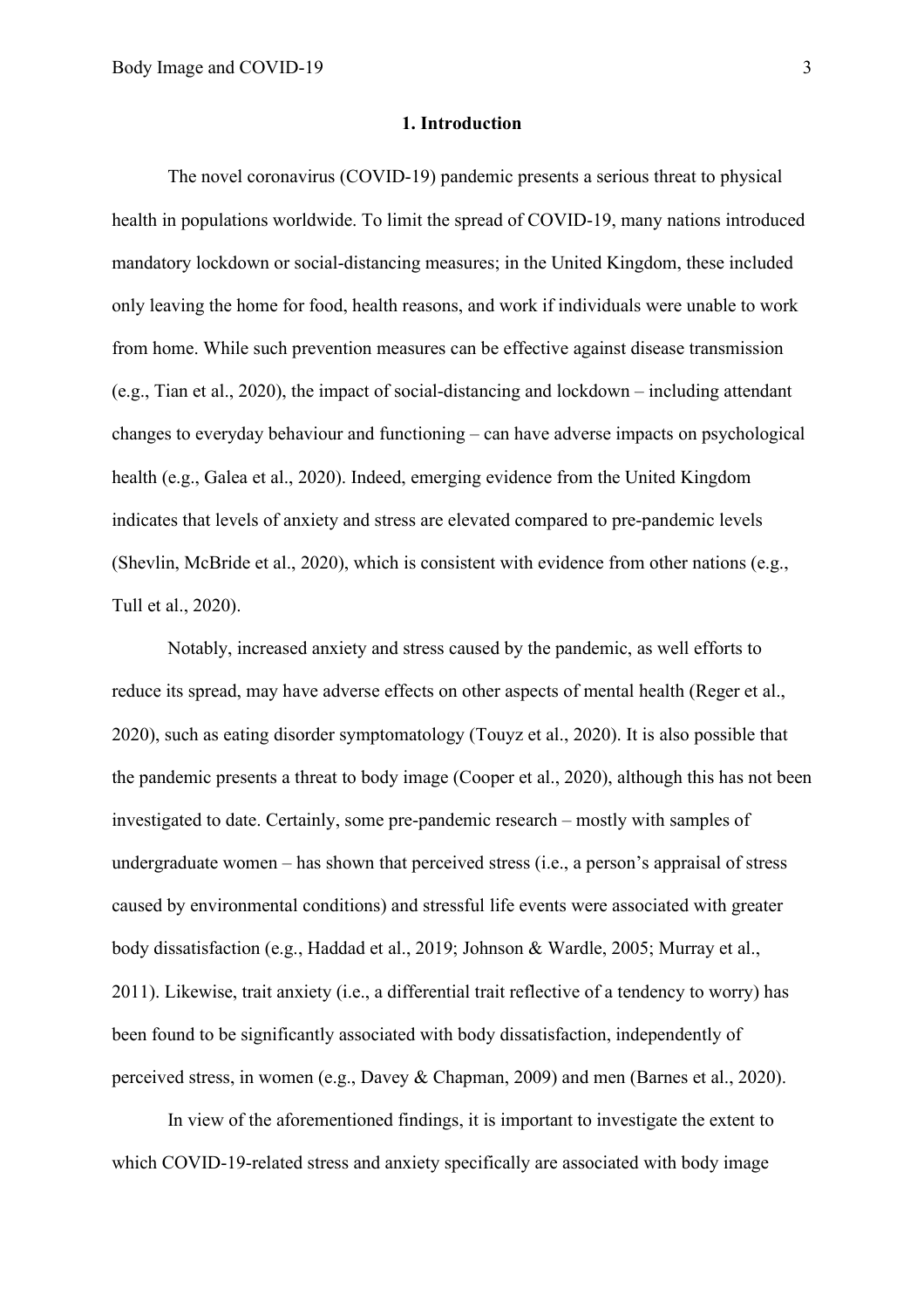### **1. Introduction**

The novel coronavirus (COVID-19) pandemic presents a serious threat to physical health in populations worldwide. To limit the spread of COVID-19, many nations introduced mandatory lockdown or social-distancing measures; in the United Kingdom, these included only leaving the home for food, health reasons, and work if individuals were unable to work from home. While such prevention measures can be effective against disease transmission (e.g., Tian et al., 2020), the impact of social-distancing and lockdown – including attendant changes to everyday behaviour and functioning – can have adverse impacts on psychological health (e.g., Galea et al., 2020). Indeed, emerging evidence from the United Kingdom indicates that levels of anxiety and stress are elevated compared to pre-pandemic levels (Shevlin, McBride et al., 2020), which is consistent with evidence from other nations (e.g., Tull et al., 2020).

Notably, increased anxiety and stress caused by the pandemic, as well efforts to reduce its spread, may have adverse effects on other aspects of mental health (Reger et al., 2020), such as eating disorder symptomatology (Touyz et al., 2020). It is also possible that the pandemic presents a threat to body image (Cooper et al., 2020), although this has not been investigated to date. Certainly, some pre-pandemic research – mostly with samples of undergraduate women – has shown that perceived stress (i.e., a person's appraisal of stress caused by environmental conditions) and stressful life events were associated with greater body dissatisfaction (e.g., Haddad et al., 2019; Johnson & Wardle, 2005; Murray et al., 2011). Likewise, trait anxiety (i.e., a differential trait reflective of a tendency to worry) has been found to be significantly associated with body dissatisfaction, independently of perceived stress, in women (e.g., Davey & Chapman, 2009) and men (Barnes et al., 2020).

In view of the aforementioned findings, it is important to investigate the extent to which COVID-19-related stress and anxiety specifically are associated with body image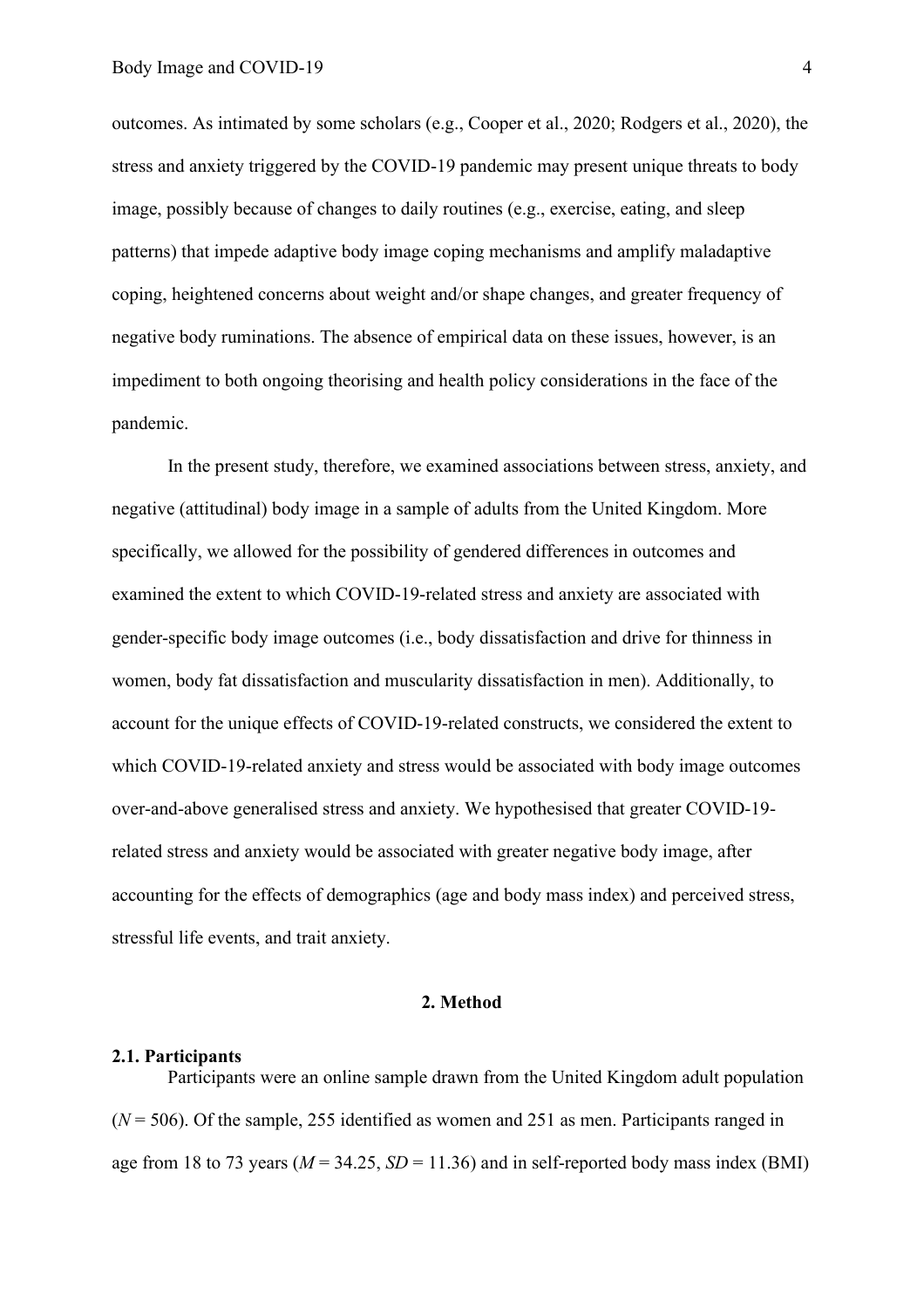outcomes. As intimated by some scholars (e.g., Cooper et al., 2020; Rodgers et al., 2020), the stress and anxiety triggered by the COVID-19 pandemic may present unique threats to body image, possibly because of changes to daily routines (e.g., exercise, eating, and sleep patterns) that impede adaptive body image coping mechanisms and amplify maladaptive coping, heightened concerns about weight and/or shape changes, and greater frequency of negative body ruminations. The absence of empirical data on these issues, however, is an impediment to both ongoing theorising and health policy considerations in the face of the pandemic.

In the present study, therefore, we examined associations between stress, anxiety, and negative (attitudinal) body image in a sample of adults from the United Kingdom. More specifically, we allowed for the possibility of gendered differences in outcomes and examined the extent to which COVID-19-related stress and anxiety are associated with gender-specific body image outcomes (i.e., body dissatisfaction and drive for thinness in women, body fat dissatisfaction and muscularity dissatisfaction in men). Additionally, to account for the unique effects of COVID-19-related constructs, we considered the extent to which COVID-19-related anxiety and stress would be associated with body image outcomes over-and-above generalised stress and anxiety. We hypothesised that greater COVID-19 related stress and anxiety would be associated with greater negative body image, after accounting for the effects of demographics (age and body mass index) and perceived stress, stressful life events, and trait anxiety.

### **2. Method**

### **2.1. Participants**

Participants were an online sample drawn from the United Kingdom adult population  $(N = 506)$ . Of the sample, 255 identified as women and 251 as men. Participants ranged in age from 18 to 73 years ( $M = 34.25$ ,  $SD = 11.36$ ) and in self-reported body mass index (BMI)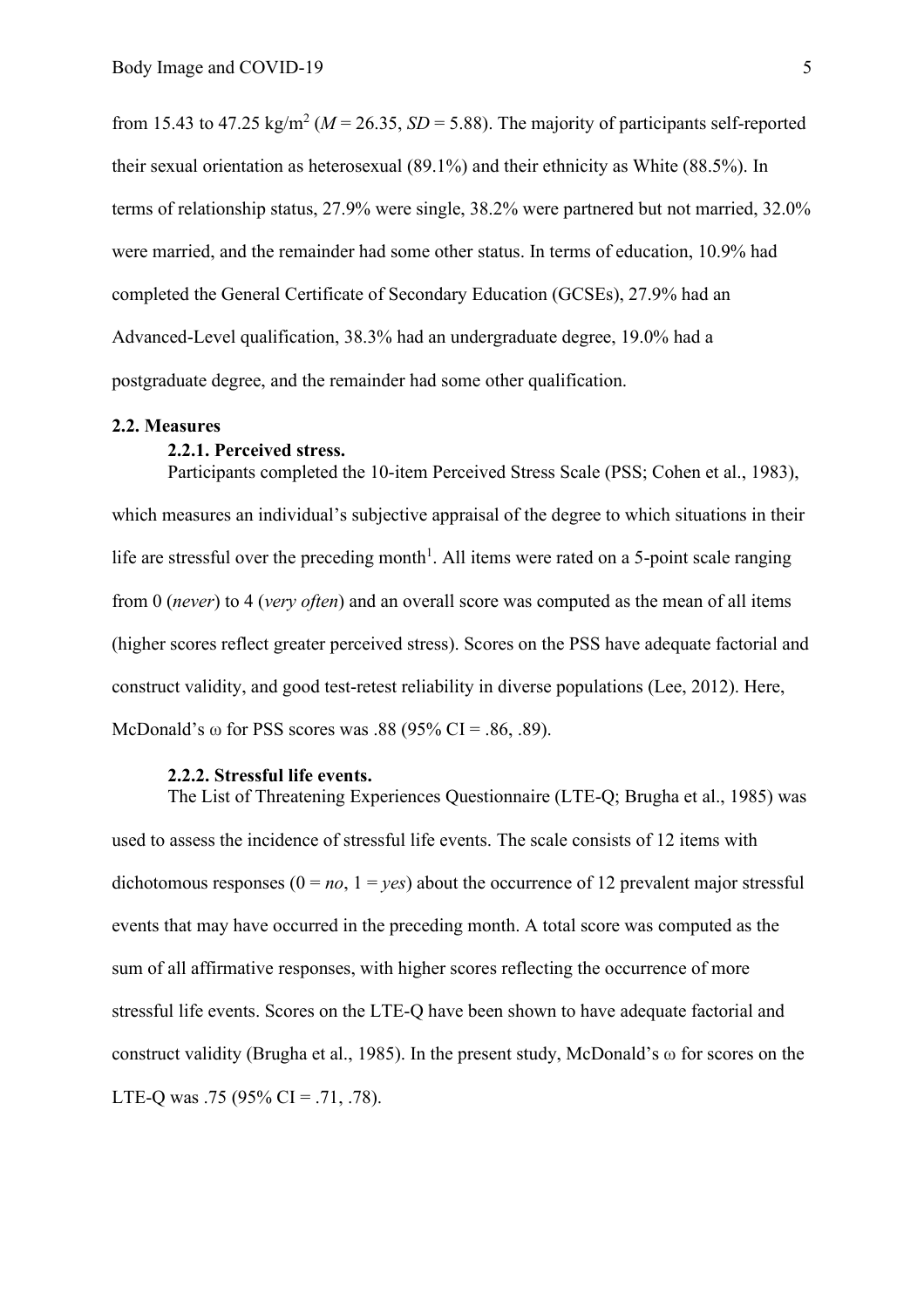from 15.43 to 47.25 kg/m<sup>2</sup> ( $M = 26.35$ ,  $SD = 5.88$ ). The majority of participants self-reported their sexual orientation as heterosexual (89.1%) and their ethnicity as White (88.5%). In terms of relationship status, 27.9% were single, 38.2% were partnered but not married, 32.0% were married, and the remainder had some other status. In terms of education, 10.9% had completed the General Certificate of Secondary Education (GCSEs), 27.9% had an Advanced-Level qualification, 38.3% had an undergraduate degree, 19.0% had a postgraduate degree, and the remainder had some other qualification.

#### **2.2. Measures**

#### **2.2.1. Perceived stress.**

Participants completed the 10-item Perceived Stress Scale (PSS; Cohen et al., 1983), which measures an individual's subjective appraisal of the degree to which situations in their life are stressful over the preceding month<sup>1</sup>. All items were rated on a 5-point scale ranging from 0 (*never*) to 4 (*very often*) and an overall score was computed as the mean of all items (higher scores reflect greater perceived stress). Scores on the PSS have adequate factorial and construct validity, and good test-retest reliability in diverse populations (Lee, 2012). Here, McDonald's  $\omega$  for PSS scores was .88 (95% CI = .86, .89).

## **2.2.2. Stressful life events.**

The List of Threatening Experiences Questionnaire (LTE-Q; Brugha et al., 1985) was used to assess the incidence of stressful life events. The scale consists of 12 items with dichotomous responses  $(0 = no, 1 = yes)$  about the occurrence of 12 prevalent major stressful events that may have occurred in the preceding month. A total score was computed as the sum of all affirmative responses, with higher scores reflecting the occurrence of more stressful life events. Scores on the LTE-Q have been shown to have adequate factorial and construct validity (Brugha et al., 1985). In the present study, McDonald's ω for scores on the LTE-Q was .75 (95% CI = .71, .78).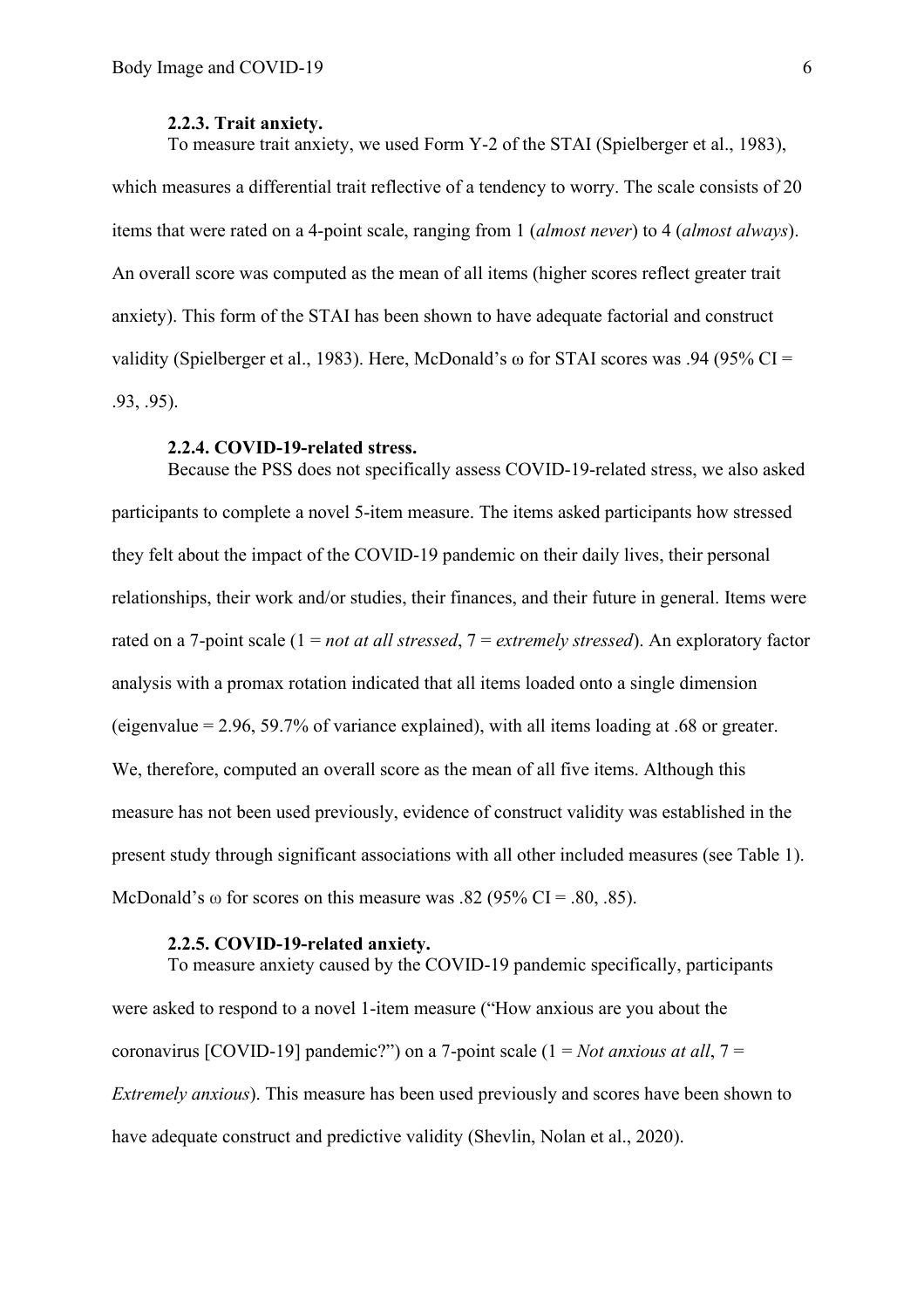#### **2.2.3. Trait anxiety.**

To measure trait anxiety, we used Form Y-2 of the STAI (Spielberger et al., 1983),

which measures a differential trait reflective of a tendency to worry. The scale consists of 20 items that were rated on a 4-point scale, ranging from 1 (*almost never*) to 4 (*almost always*). An overall score was computed as the mean of all items (higher scores reflect greater trait anxiety). This form of the STAI has been shown to have adequate factorial and construct validity (Spielberger et al., 1983). Here, McDonald's ω for STAI scores was .94 (95% CI = .93, .95).

#### **2.2.4. COVID-19-related stress.**

Because the PSS does not specifically assess COVID-19-related stress, we also asked participants to complete a novel 5-item measure. The items asked participants how stressed they felt about the impact of the COVID-19 pandemic on their daily lives, their personal relationships, their work and/or studies, their finances, and their future in general. Items were rated on a 7-point scale (1 = *not at all stressed*, 7 = *extremely stressed*). An exploratory factor analysis with a promax rotation indicated that all items loaded onto a single dimension (eigenvalue = 2.96, 59.7% of variance explained), with all items loading at .68 or greater. We, therefore, computed an overall score as the mean of all five items. Although this measure has not been used previously, evidence of construct validity was established in the present study through significant associations with all other included measures (see Table 1). McDonald's  $\omega$  for scores on this measure was .82 (95% CI = .80, .85).

#### **2.2.5. COVID-19-related anxiety.**

To measure anxiety caused by the COVID-19 pandemic specifically, participants were asked to respond to a novel 1-item measure ("How anxious are you about the coronavirus [COVID-19] pandemic?") on a 7-point scale (1 = *Not anxious at all*, 7 = *Extremely anxious*). This measure has been used previously and scores have been shown to have adequate construct and predictive validity (Shevlin, Nolan et al., 2020).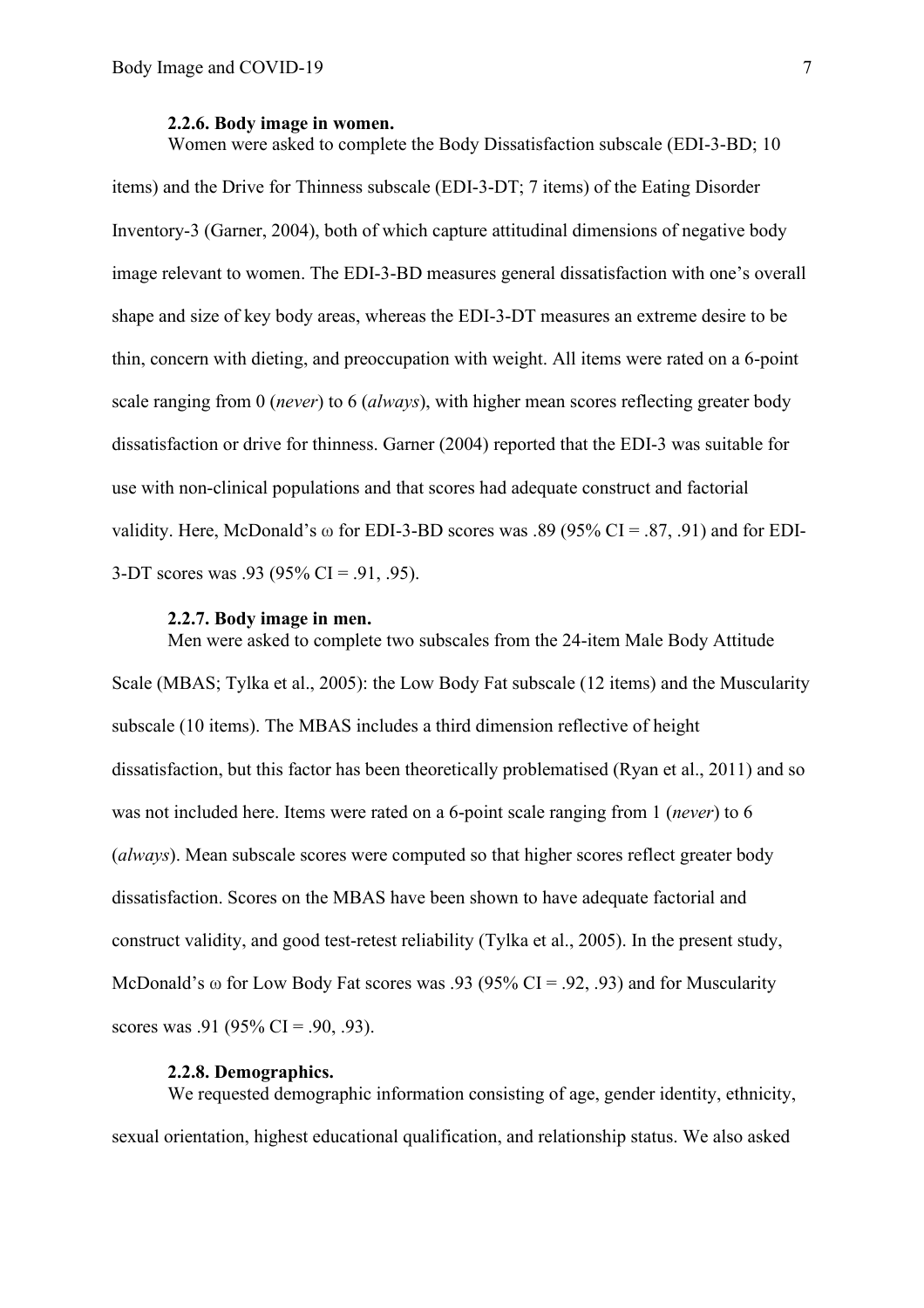#### **2.2.6. Body image in women.**

Women were asked to complete the Body Dissatisfaction subscale (EDI-3-BD; 10 items) and the Drive for Thinness subscale (EDI-3-DT; 7 items) of the Eating Disorder Inventory-3 (Garner, 2004), both of which capture attitudinal dimensions of negative body image relevant to women. The EDI-3-BD measures general dissatisfaction with one's overall shape and size of key body areas, whereas the EDI-3-DT measures an extreme desire to be thin, concern with dieting, and preoccupation with weight. All items were rated on a 6-point scale ranging from 0 (*never*) to 6 (*always*), with higher mean scores reflecting greater body dissatisfaction or drive for thinness. Garner (2004) reported that the EDI-3 was suitable for use with non-clinical populations and that scores had adequate construct and factorial validity. Here, McDonald's  $\omega$  for EDI-3-BD scores was .89 (95% CI = .87, .91) and for EDI-3-DT scores was .93 (95% CI = .91, .95).

#### **2.2.7. Body image in men.**

Men were asked to complete two subscales from the 24-item Male Body Attitude Scale (MBAS; Tylka et al., 2005): the Low Body Fat subscale (12 items) and the Muscularity subscale (10 items). The MBAS includes a third dimension reflective of height dissatisfaction, but this factor has been theoretically problematised (Ryan et al., 2011) and so was not included here. Items were rated on a 6-point scale ranging from 1 (*never*) to 6 (*always*). Mean subscale scores were computed so that higher scores reflect greater body dissatisfaction. Scores on the MBAS have been shown to have adequate factorial and construct validity, and good test-retest reliability (Tylka et al., 2005). In the present study, McDonald's  $\omega$  for Low Body Fat scores was .93 (95% CI = .92, .93) and for Muscularity scores was .91 (95% CI = .90, .93).

### **2.2.8. Demographics.**

We requested demographic information consisting of age, gender identity, ethnicity, sexual orientation, highest educational qualification, and relationship status. We also asked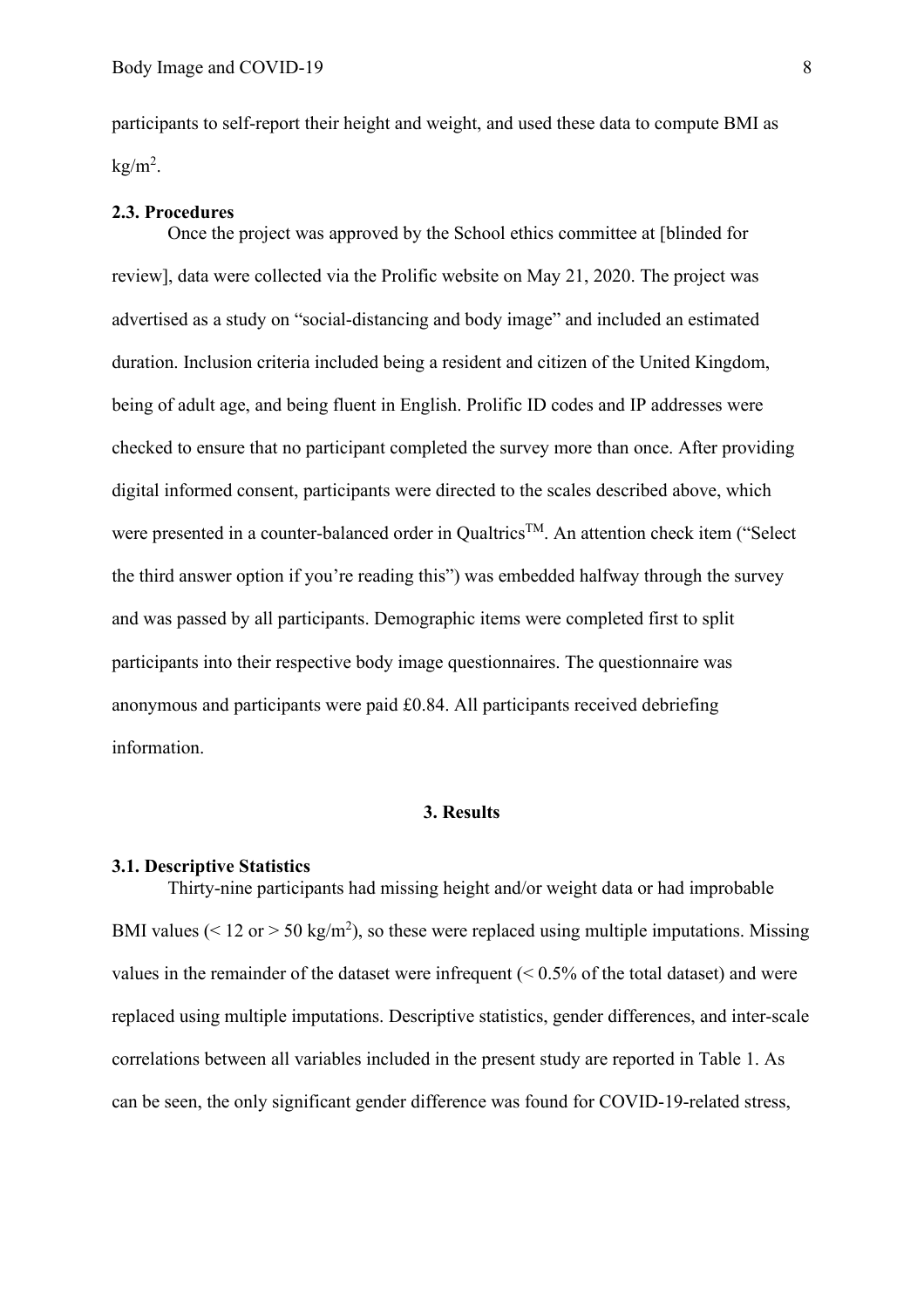participants to self-report their height and weight, and used these data to compute BMI as  $kg/m<sup>2</sup>$ .

## **2.3. Procedures**

Once the project was approved by the School ethics committee at [blinded for review], data were collected via the Prolific website on May 21, 2020. The project was advertised as a study on "social-distancing and body image" and included an estimated duration. Inclusion criteria included being a resident and citizen of the United Kingdom, being of adult age, and being fluent in English. Prolific ID codes and IP addresses were checked to ensure that no participant completed the survey more than once. After providing digital informed consent, participants were directed to the scales described above, which were presented in a counter-balanced order in Qualtrics<sup>TM</sup>. An attention check item ("Select the third answer option if you're reading this") was embedded halfway through the survey and was passed by all participants. Demographic items were completed first to split participants into their respective body image questionnaires. The questionnaire was anonymous and participants were paid £0.84. All participants received debriefing information.

# **3. Results**

# **3.1. Descriptive Statistics**

Thirty-nine participants had missing height and/or weight data or had improbable BMI values ( $\leq 12$  or  $> 50$  kg/m<sup>2</sup>), so these were replaced using multiple imputations. Missing values in the remainder of the dataset were infrequent  $($  < 0.5% of the total dataset) and were replaced using multiple imputations. Descriptive statistics, gender differences, and inter-scale correlations between all variables included in the present study are reported in Table 1. As can be seen, the only significant gender difference was found for COVID-19-related stress,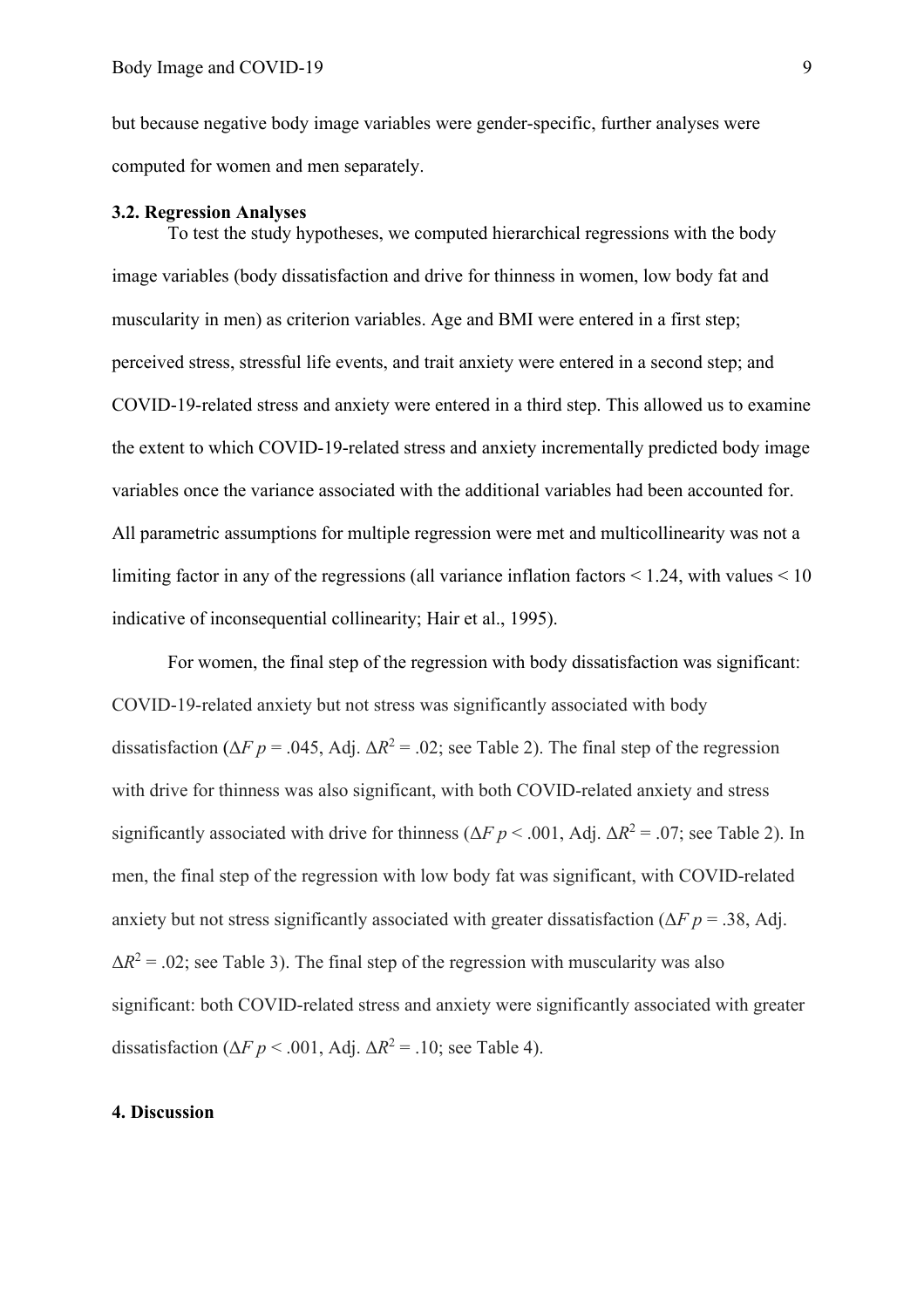but because negative body image variables were gender-specific, further analyses were computed for women and men separately.

#### **3.2. Regression Analyses**

To test the study hypotheses, we computed hierarchical regressions with the body image variables (body dissatisfaction and drive for thinness in women, low body fat and muscularity in men) as criterion variables. Age and BMI were entered in a first step; perceived stress, stressful life events, and trait anxiety were entered in a second step; and COVID-19-related stress and anxiety were entered in a third step. This allowed us to examine the extent to which COVID-19-related stress and anxiety incrementally predicted body image variables once the variance associated with the additional variables had been accounted for. All parametric assumptions for multiple regression were met and multicollinearity was not a limiting factor in any of the regressions (all variance inflation factors  $\leq 1.24$ , with values  $\leq 10$ indicative of inconsequential collinearity; Hair et al., 1995).

For women, the final step of the regression with body dissatisfaction was significant: COVID-19-related anxiety but not stress was significantly associated with body dissatisfaction ( $\Delta F$  *p* = .045, Adj.  $\Delta R^2$  = .02; see Table 2). The final step of the regression with drive for thinness was also significant, with both COVID-related anxiety and stress significantly associated with drive for thinness ( $\Delta F$  *p* < .001, Adj.  $\Delta R^2$  = .07; see Table 2). In men, the final step of the regression with low body fat was significant, with COVID-related anxiety but not stress significantly associated with greater dissatisfaction ( $\Delta F$  *p* = .38, Adj.  $\Delta R^2$  = .02; see Table 3). The final step of the regression with muscularity was also significant: both COVID-related stress and anxiety were significantly associated with greater dissatisfaction ( $\Delta F$  *p* < .001, Adj.  $\Delta R^2$  = .10; see Table 4).

# **4. Discussion**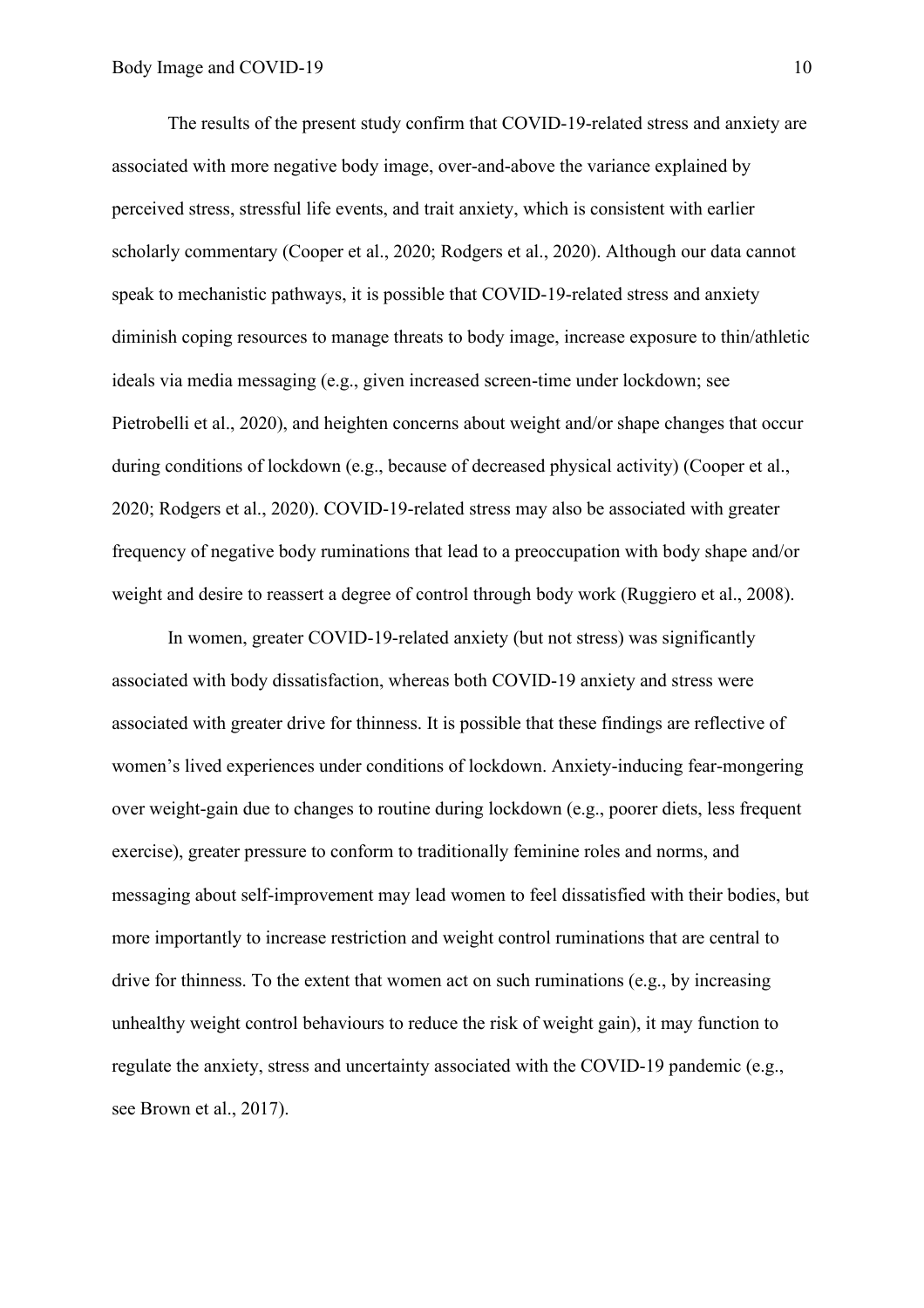The results of the present study confirm that COVID-19-related stress and anxiety are associated with more negative body image, over-and-above the variance explained by perceived stress, stressful life events, and trait anxiety, which is consistent with earlier scholarly commentary (Cooper et al., 2020; Rodgers et al., 2020). Although our data cannot speak to mechanistic pathways, it is possible that COVID-19-related stress and anxiety diminish coping resources to manage threats to body image, increase exposure to thin/athletic ideals via media messaging (e.g., given increased screen-time under lockdown; see Pietrobelli et al., 2020), and heighten concerns about weight and/or shape changes that occur during conditions of lockdown (e.g., because of decreased physical activity) (Cooper et al., 2020; Rodgers et al., 2020). COVID-19-related stress may also be associated with greater frequency of negative body ruminations that lead to a preoccupation with body shape and/or weight and desire to reassert a degree of control through body work (Ruggiero et al., 2008).

In women, greater COVID-19-related anxiety (but not stress) was significantly associated with body dissatisfaction, whereas both COVID-19 anxiety and stress were associated with greater drive for thinness. It is possible that these findings are reflective of women's lived experiences under conditions of lockdown. Anxiety-inducing fear-mongering over weight-gain due to changes to routine during lockdown (e.g., poorer diets, less frequent exercise), greater pressure to conform to traditionally feminine roles and norms, and messaging about self-improvement may lead women to feel dissatisfied with their bodies, but more importantly to increase restriction and weight control ruminations that are central to drive for thinness. To the extent that women act on such ruminations (e.g., by increasing unhealthy weight control behaviours to reduce the risk of weight gain), it may function to regulate the anxiety, stress and uncertainty associated with the COVID-19 pandemic (e.g., see Brown et al., 2017).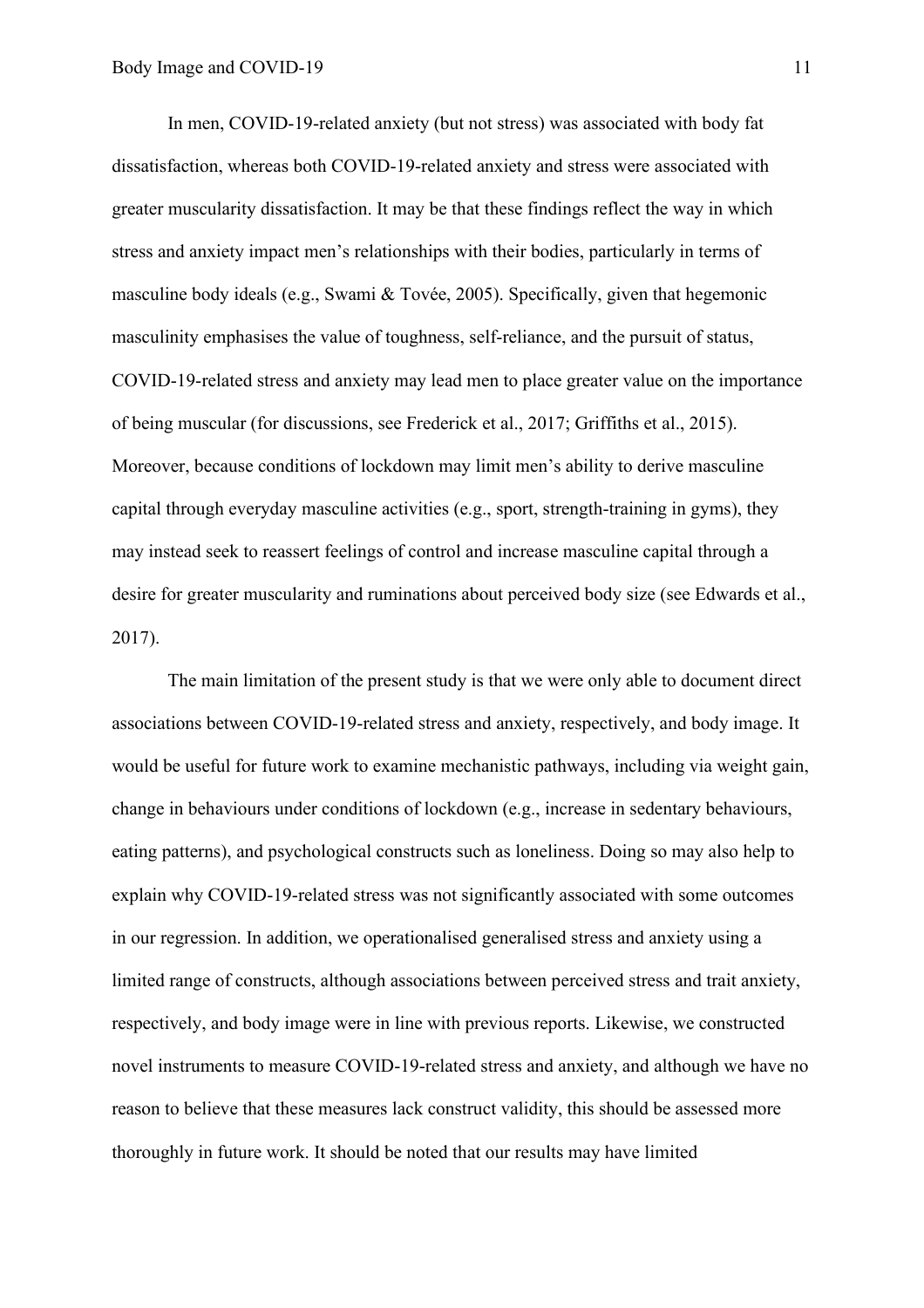In men, COVID-19-related anxiety (but not stress) was associated with body fat dissatisfaction, whereas both COVID-19-related anxiety and stress were associated with greater muscularity dissatisfaction. It may be that these findings reflect the way in which stress and anxiety impact men's relationships with their bodies, particularly in terms of masculine body ideals (e.g., Swami & Tovée, 2005). Specifically, given that hegemonic masculinity emphasises the value of toughness, self-reliance, and the pursuit of status, COVID-19-related stress and anxiety may lead men to place greater value on the importance of being muscular (for discussions, see Frederick et al., 2017; Griffiths et al., 2015). Moreover, because conditions of lockdown may limit men's ability to derive masculine capital through everyday masculine activities (e.g., sport, strength-training in gyms), they may instead seek to reassert feelings of control and increase masculine capital through a desire for greater muscularity and ruminations about perceived body size (see Edwards et al., 2017).

The main limitation of the present study is that we were only able to document direct associations between COVID-19-related stress and anxiety, respectively, and body image. It would be useful for future work to examine mechanistic pathways, including via weight gain, change in behaviours under conditions of lockdown (e.g., increase in sedentary behaviours, eating patterns), and psychological constructs such as loneliness. Doing so may also help to explain why COVID-19-related stress was not significantly associated with some outcomes in our regression. In addition, we operationalised generalised stress and anxiety using a limited range of constructs, although associations between perceived stress and trait anxiety, respectively, and body image were in line with previous reports. Likewise, we constructed novel instruments to measure COVID-19-related stress and anxiety, and although we have no reason to believe that these measures lack construct validity, this should be assessed more thoroughly in future work. It should be noted that our results may have limited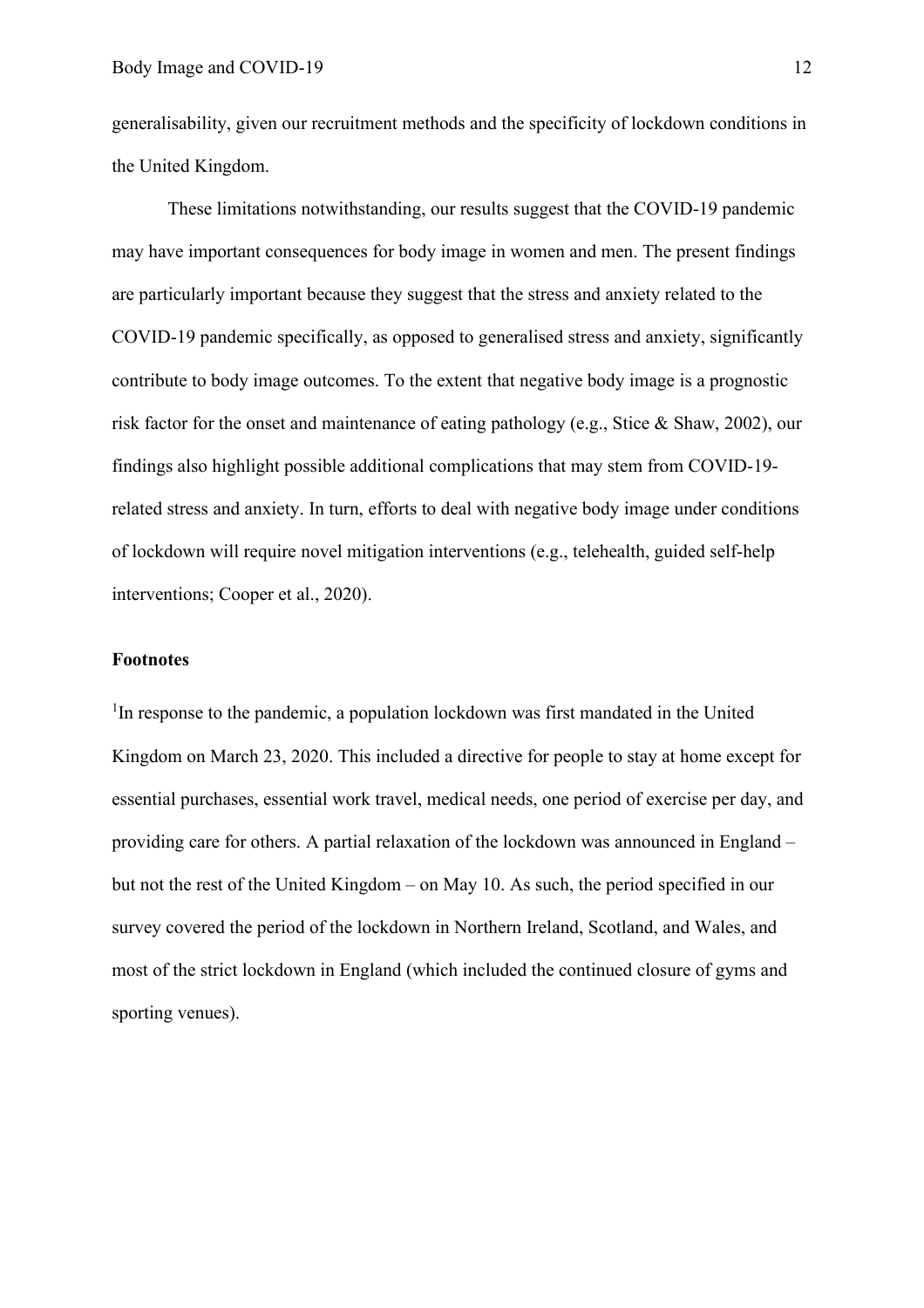generalisability, given our recruitment methods and the specificity of lockdown conditions in the United Kingdom.

These limitations notwithstanding, our results suggest that the COVID-19 pandemic may have important consequences for body image in women and men. The present findings are particularly important because they suggest that the stress and anxiety related to the COVID-19 pandemic specifically, as opposed to generalised stress and anxiety, significantly contribute to body image outcomes. To the extent that negative body image is a prognostic risk factor for the onset and maintenance of eating pathology (e.g., Stice & Shaw, 2002), our findings also highlight possible additional complications that may stem from COVID-19 related stress and anxiety. In turn, efforts to deal with negative body image under conditions of lockdown will require novel mitigation interventions (e.g., telehealth, guided self-help interventions; Cooper et al., 2020).

# **Footnotes**

<sup>1</sup>In response to the pandemic, a population lockdown was first mandated in the United Kingdom on March 23, 2020. This included a directive for people to stay at home except for essential purchases, essential work travel, medical needs, one period of exercise per day, and providing care for others. A partial relaxation of the lockdown was announced in England – but not the rest of the United Kingdom – on May 10. As such, the period specified in our survey covered the period of the lockdown in Northern Ireland, Scotland, and Wales, and most of the strict lockdown in England (which included the continued closure of gyms and sporting venues).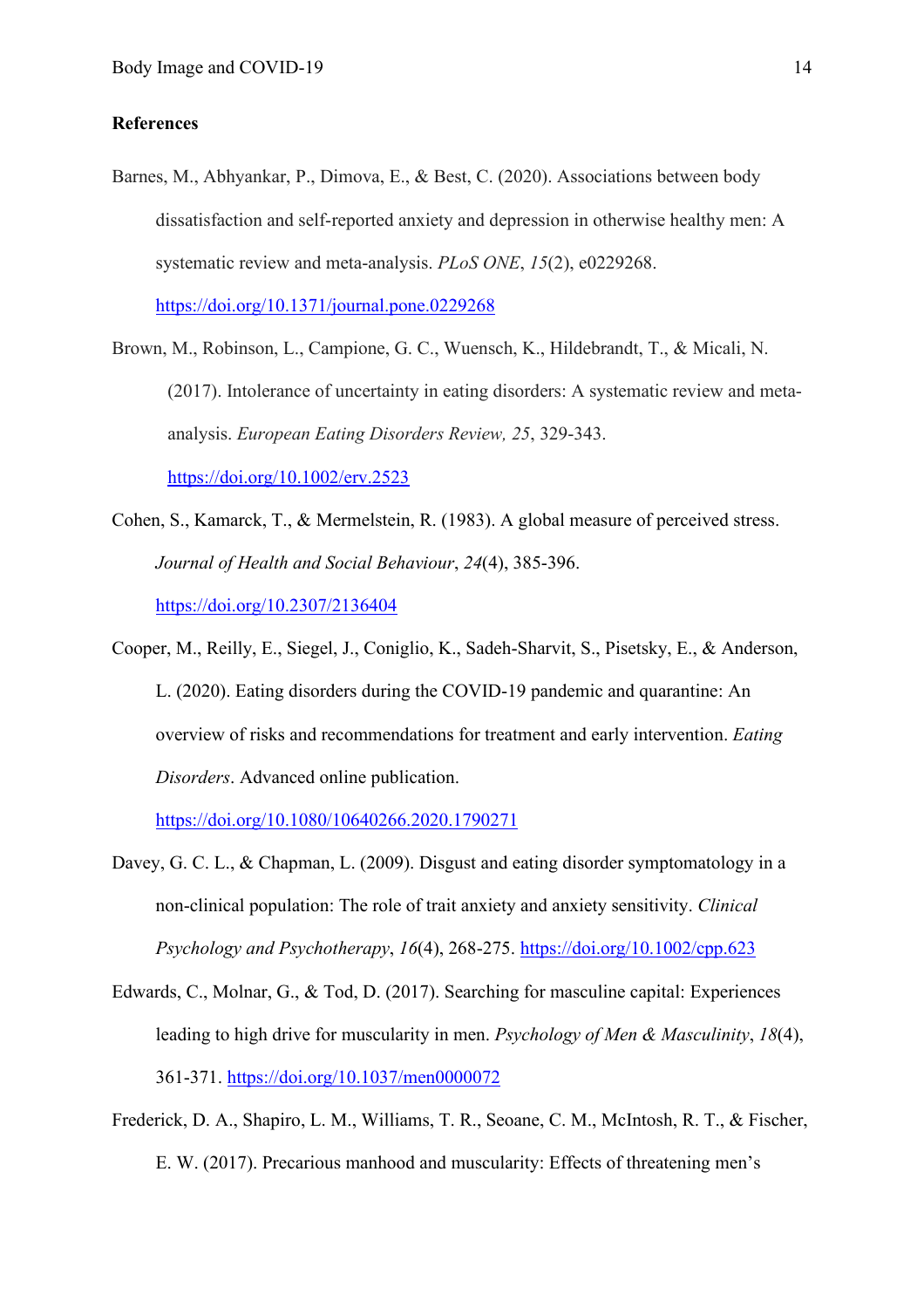# **References**

Barnes, M., Abhyankar, P., Dimova, E., & Best, C. (2020). Associations between body dissatisfaction and self-reported anxiety and depression in otherwise healthy men: A systematic review and meta-analysis. *PLoS ONE*, *15*(2), e0229268. <https://doi.org/10.1371/journal.pone.0229268>

Brown, M., Robinson, L., Campione, G. C., Wuensch, K., Hildebrandt, T., & Micali, N. (2017). Intolerance of uncertainty in eating disorders: A systematic review and metaanalysis. *European Eating Disorders Review, 25*, 329-343. <https://doi.org/10.1002/erv.2523>

- Cohen, S., Kamarck, T., & Mermelstein, R. (1983). A global measure of perceived stress. *Journal of Health and Social Behaviour*, *24*(4), 385-396. <https://doi.org/10.2307/2136404>
- Cooper, M., Reilly, E., Siegel, J., Coniglio, K., Sadeh-Sharvit, S., Pisetsky, E., & Anderson, L. (2020). Eating disorders during the COVID-19 pandemic and quarantine: An overview of risks and recommendations for treatment and early intervention. *Eating Disorders*. Advanced online publication.

<https://doi.org/10.1080/10640266.2020.1790271>

- Davey, G. C. L., & Chapman, L. (2009). Disgust and eating disorder symptomatology in a non-clinical population: The role of trait anxiety and anxiety sensitivity. *Clinical Psychology and Psychotherapy*, *16*(4), 268-275. <https://doi.org/10.1002/cpp.623>
- Edwards, C., Molnar, G., & Tod, D. (2017). Searching for masculine capital: Experiences leading to high drive for muscularity in men. *Psychology of Men & Masculinity*, *18*(4), 361-371. <https://doi.org/10.1037/men0000072>
- Frederick, D. A., Shapiro, L. M., Williams, T. R., Seoane, C. M., McIntosh, R. T., & Fischer, E. W. (2017). Precarious manhood and muscularity: Effects of threatening men's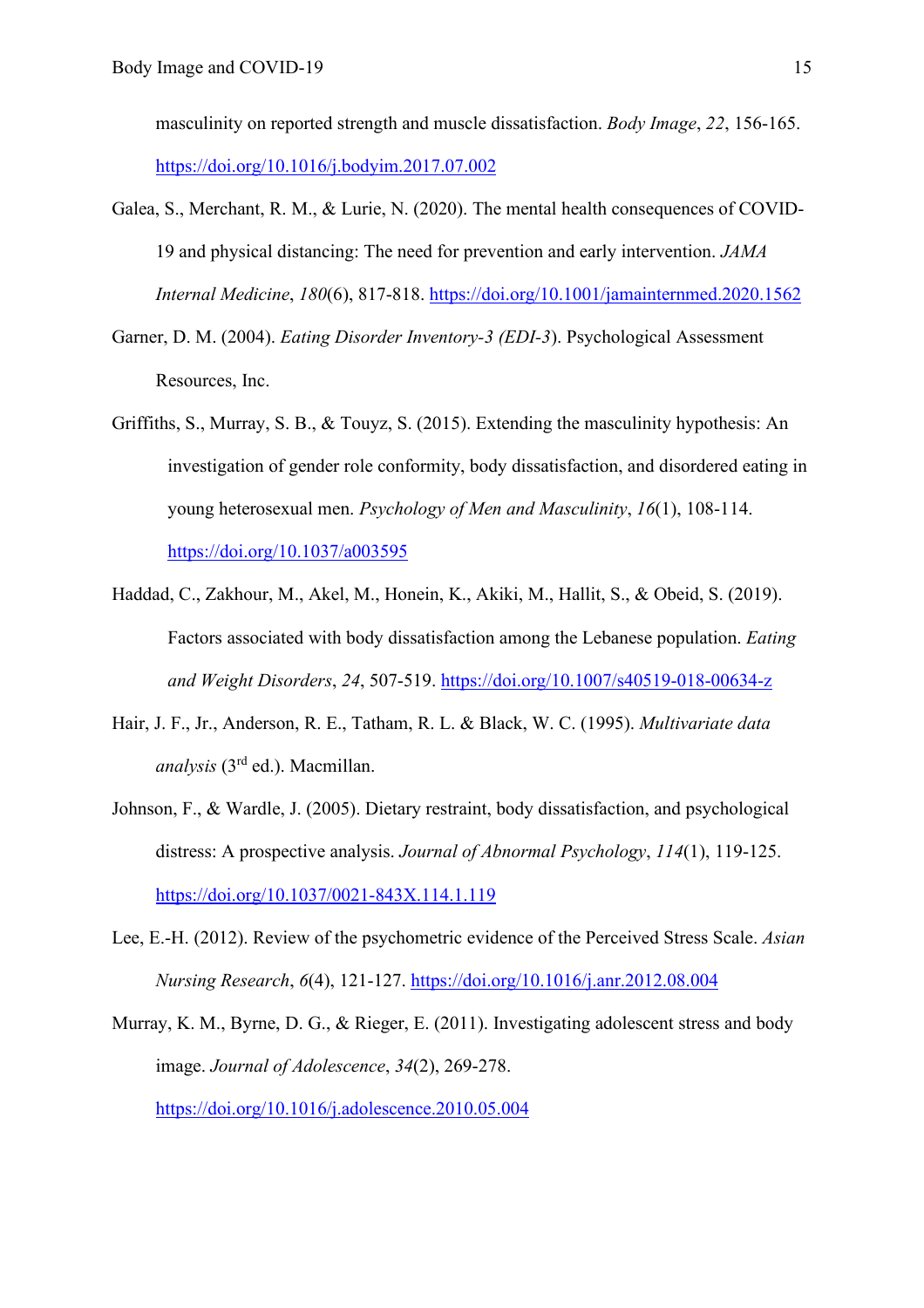masculinity on reported strength and muscle dissatisfaction. *Body Image*, *22*, 156-165. <https://doi.org/10.1016/j.bodyim.2017.07.002>

- Galea, S., Merchant, R. M., & Lurie, N. (2020). The mental health consequences of COVID-19 and physical distancing: The need for prevention and early intervention. *JAMA Internal Medicine*, *180*(6), 817-818.<https://doi.org/10.1001/jamainternmed.2020.1562>
- Garner, D. M. (2004). *Eating Disorder Inventory-3 (EDI-3*). Psychological Assessment Resources, Inc.
- Griffiths, S., Murray, S. B., & Touyz, S. (2015). Extending the masculinity hypothesis: An investigation of gender role conformity, body dissatisfaction, and disordered eating in young heterosexual men. *Psychology of Men and Masculinity*, *16*(1), 108-114. <https://doi.org/10.1037/a003595>
- Haddad, C., Zakhour, M., Akel, M., Honein, K., Akiki, M., Hallit, S., & Obeid, S. (2019). Factors associated with body dissatisfaction among the Lebanese population. *Eating and Weight Disorders*, *24*, 507-519.<https://doi.org/10.1007/s40519-018-00634-z>
- Hair, J. F., Jr., Anderson, R. E., Tatham, R. L. & Black, W. C. (1995). *Multivariate data analysis* (3rd ed.). Macmillan.
- Johnson, F., & Wardle, J. (2005). Dietary restraint, body dissatisfaction, and psychological distress: A prospective analysis. *Journal of Abnormal Psychology*, *114*(1), 119-125. <https://doi.org/10.1037/0021-843X.114.1.119>
- Lee, E.-H. (2012). Review of the psychometric evidence of the Perceived Stress Scale. *Asian Nursing Research*, *6*(4), 121-127.<https://doi.org/10.1016/j.anr.2012.08.004>
- Murray, K. M., Byrne, D. G., & Rieger, E. (2011). Investigating adolescent stress and body image. *Journal of Adolescence*, *34*(2), 269-278. <https://doi.org/10.1016/j.adolescence.2010.05.004>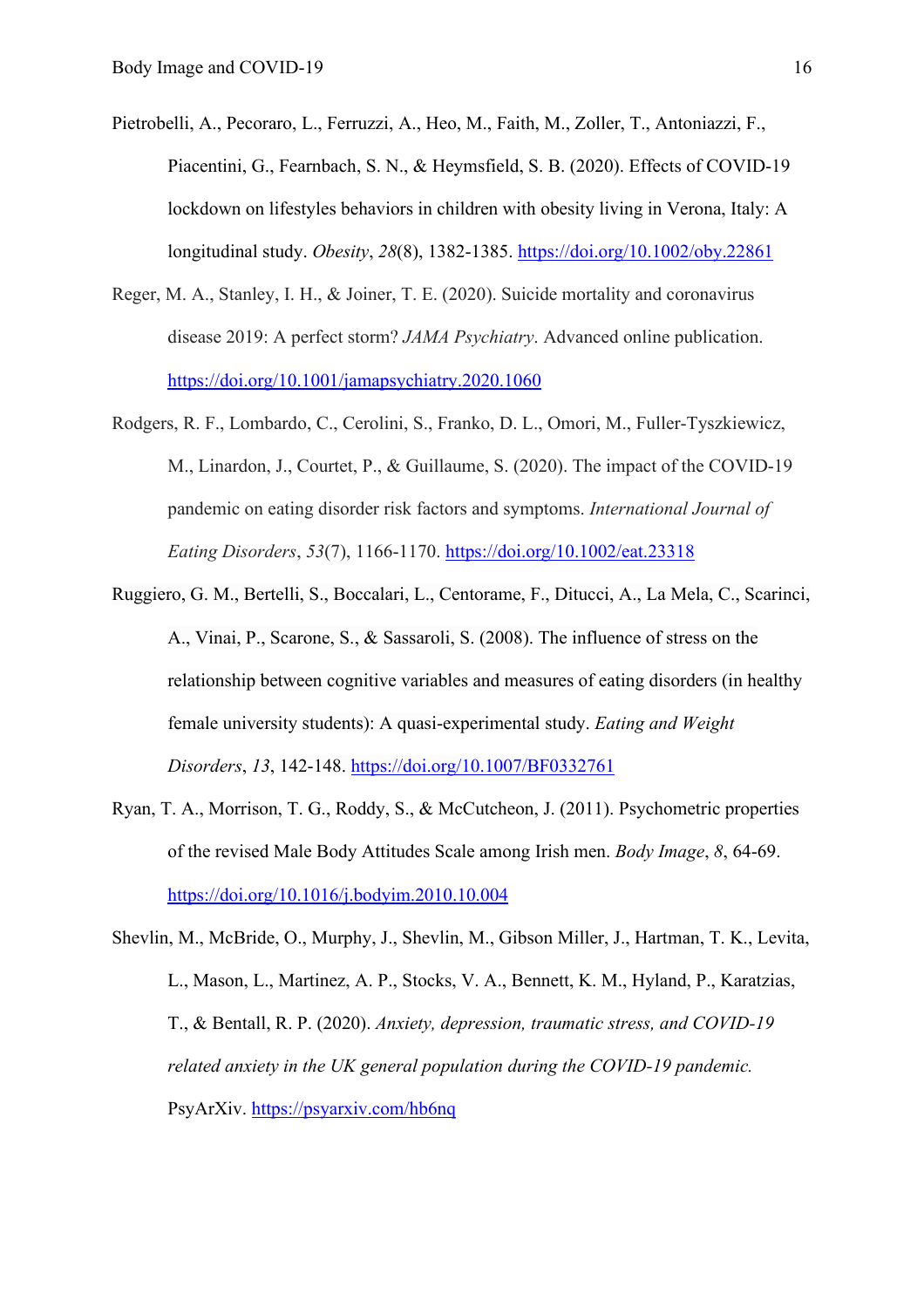- Pietrobelli, A., Pecoraro, L., Ferruzzi, A., Heo, M., Faith, M., Zoller, T., Antoniazzi, F., Piacentini, G., Fearnbach, S. N., & Heymsfield, S. B. (2020). Effects of COVID-19 lockdown on lifestyles behaviors in children with obesity living in Verona, Italy: A longitudinal study. *Obesity*, *28*(8), 1382-1385. <https://doi.org/10.1002/oby.22861>
- Reger, M. A., Stanley, I. H., & Joiner, T. E. (2020). Suicide mortality and coronavirus disease 2019: A perfect storm? *JAMA Psychiatry*. Advanced online publication. <https://doi.org/10.1001/jamapsychiatry.2020.1060>
- Rodgers, R. F., Lombardo, C., Cerolini, S., Franko, D. L., Omori, M., Fuller-Tyszkiewicz, M., Linardon, J., Courtet, P., & Guillaume, S. (2020). The impact of the COVID-19 pandemic on eating disorder risk factors and symptoms. *International Journal of Eating Disorders*, *53*(7), 1166-1170.<https://doi.org/10.1002/eat.23318>
- Ruggiero, G. M., Bertelli, S., Boccalari, L., Centorame, F., Ditucci, A., La Mela, C., Scarinci, A., Vinai, P., Scarone, S., & Sassaroli, S. (2008). The influence of stress on the relationship between cognitive variables and measures of eating disorders (in healthy female university students): A quasi-experimental study. *Eating and Weight Disorders*, *13*, 142-148.<https://doi.org/10.1007/BF0332761>
- Ryan, T. A., Morrison, T. G., Roddy, S., & McCutcheon, J. (2011). Psychometric properties of the revised Male Body Attitudes Scale among Irish men. *Body Image*, *8*, 64-69. <https://doi.org/10.1016/j.bodyim.2010.10.004>
- Shevlin, M., McBride, O., Murphy, J., Shevlin, M., Gibson Miller, J., Hartman, T. K., Levita, L., Mason, L., Martinez, A. P., Stocks, V. A., Bennett, K. M., Hyland, P., Karatzias, T., & Bentall, R. P. (2020). *Anxiety, depression, traumatic stress, and COVID-19 related anxiety in the UK general population during the COVID-19 pandemic.* PsyArXiv.<https://psyarxiv.com/hb6nq>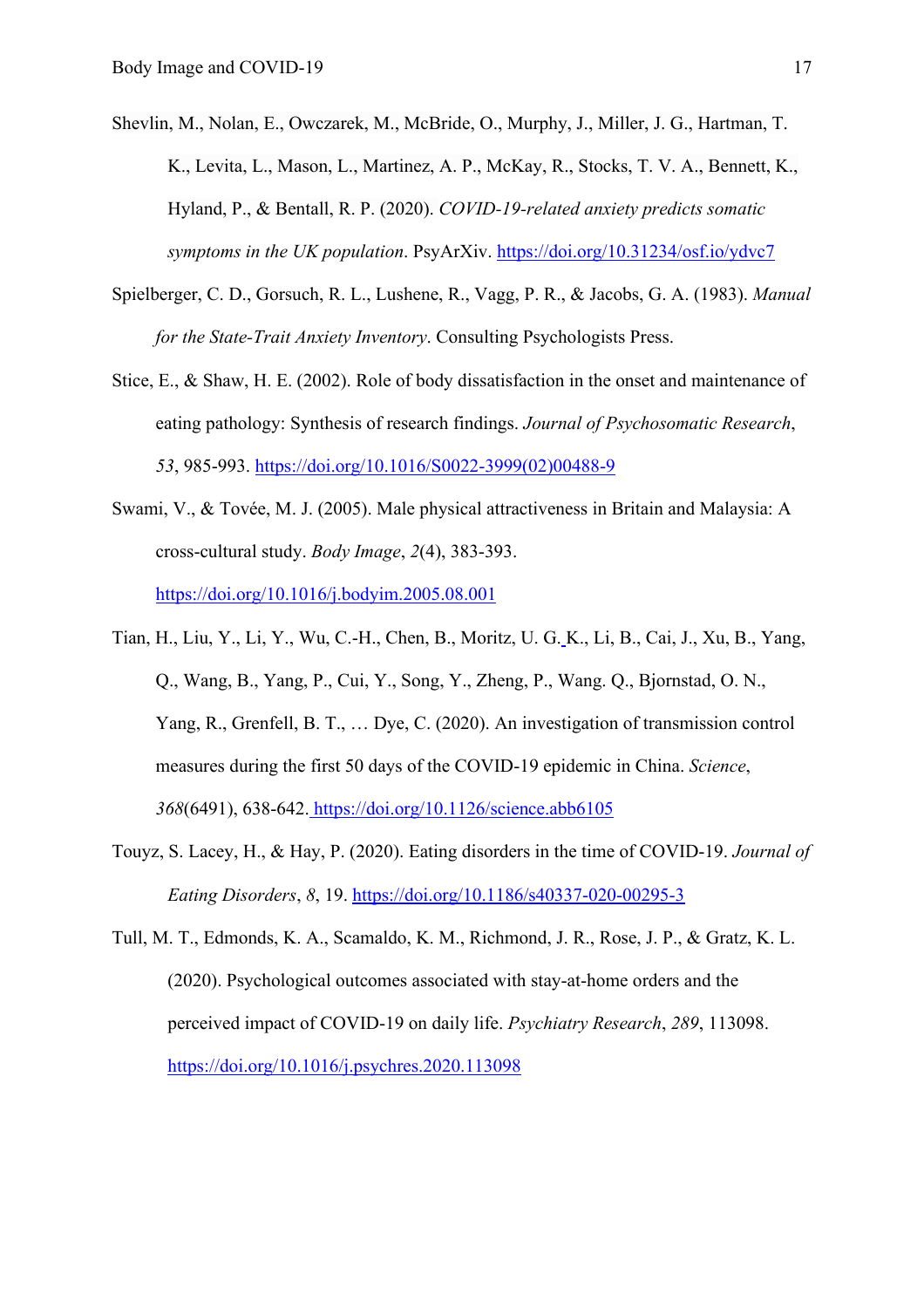- Shevlin, M., Nolan, E., Owczarek, M., McBride, O., Murphy, J., Miller, J. G., Hartman, T. K., Levita, L., Mason, L., Martinez, A. P., McKay, R., Stocks, T. V. A., Bennett, K., Hyland, P., & Bentall, R. P. (2020). *COVID-19-related anxiety predicts somatic symptoms in the UK population*. PsyArXiv.<https://doi.org/10.31234/osf.io/ydvc7>
- Spielberger, C. D., Gorsuch, R. L., Lushene, R., Vagg, P. R., & Jacobs, G. A. (1983). *Manual for the State-Trait Anxiety Inventory*. Consulting Psychologists Press.
- Stice, E., & Shaw, H. E. (2002). Role of body dissatisfaction in the onset and maintenance of eating pathology: Synthesis of research findings. *Journal of Psychosomatic Research*, *53*, 985-993. [https://doi.org/10.1016/S0022-3999\(02\)00488-9](https://doi.org/10.1016/S0022-3999(02)00488-9)
- Swami, V., & Tovée, M. J. (2005). Male physical attractiveness in Britain and Malaysia: A cross-cultural study. *Body Image*, *2*(4), 383-393. <https://doi.org/10.1016/j.bodyim.2005.08.001>
- Tian, H., Liu, Y., Li, Y., Wu, C.-H., Chen, B., Moritz, U. G. K., Li, B., Cai, J., Xu, B., Yang, Q., Wang, B., Yang, P., Cui, Y., Song, Y., Zheng, P., Wang. Q., Bjornstad, O. N., Yang, R., Grenfell, B. T., … Dye, C. (2020). An investigation of transmission control measures during the first 50 days of the COVID-19 epidemic in China. *Science*, *368*(6491), 638-642. <https://doi.org/10.1126/science.abb6105>
- Touyz, S. Lacey, H., & Hay, P. (2020). Eating disorders in the time of COVID-19. *Journal of Eating Disorders*, *8*, 19.<https://doi.org/10.1186/s40337-020-00295-3>
- Tull, M. T., Edmonds, K. A., Scamaldo, K. M., Richmond, J. R., Rose, J. P., & Gratz, K. L. (2020). Psychological outcomes associated with stay-at-home orders and the perceived impact of COVID-19 on daily life. *Psychiatry Research*, *289*, 113098. <https://doi.org/10.1016/j.psychres.2020.113098>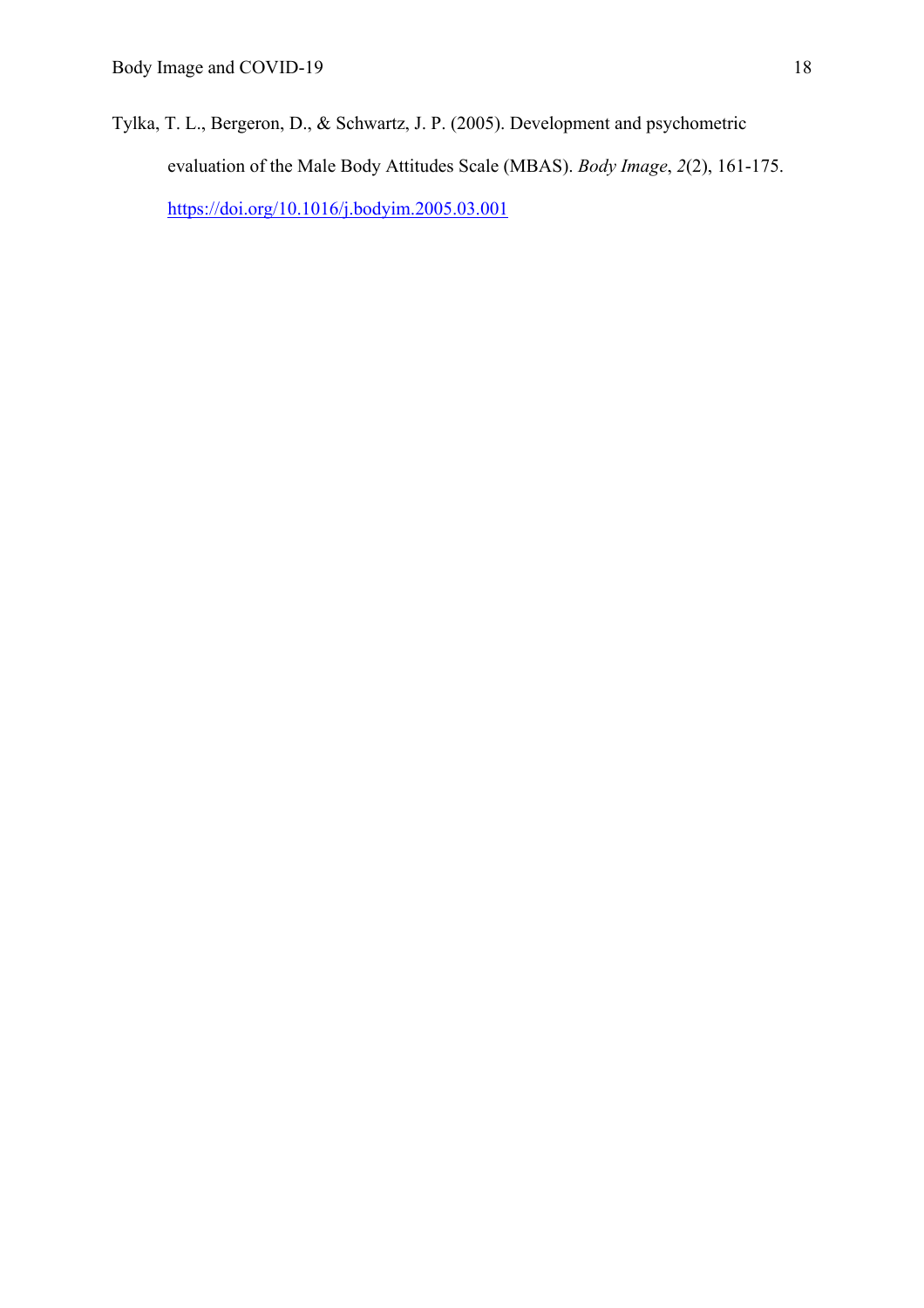Tylka, T. L., Bergeron, D., & Schwartz, J. P. (2005). Development and psychometric evaluation of the Male Body Attitudes Scale (MBAS). *Body Image*, *2*(2), 161-175. <https://doi.org/10.1016/j.bodyim.2005.03.001>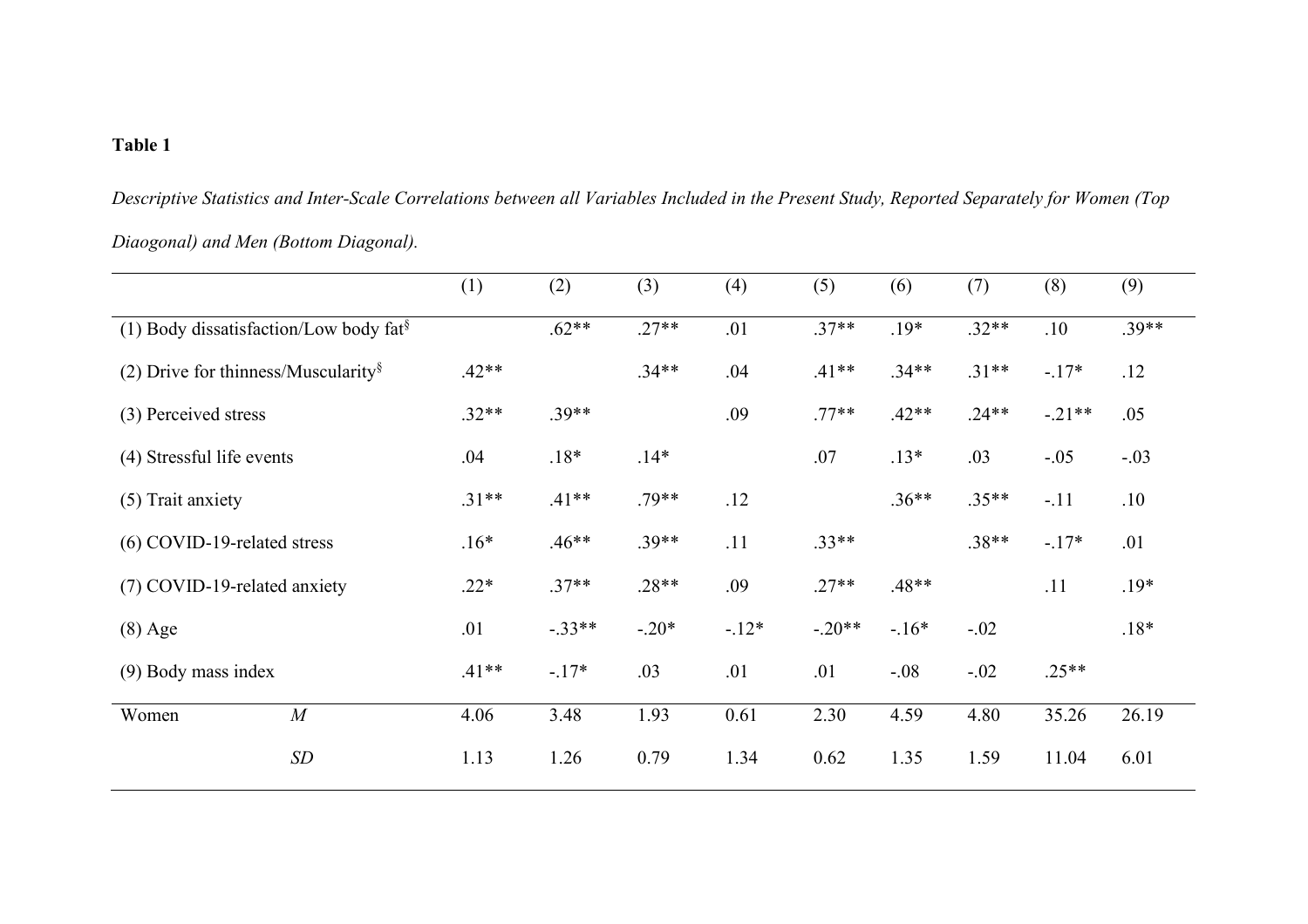# **Table 1**

*Descriptive Statistics and Inter-Scale Correlations between all Variables Included in the Present Study, Reported Separately for Women (Top Diaogonal) and Men (Bottom Diagonal).*

|                                                    |             | (1)     | (2)      | (3)     | (4)    | (5)      | (6)     | (7)     | (8)      | (9)     |
|----------------------------------------------------|-------------|---------|----------|---------|--------|----------|---------|---------|----------|---------|
| (1) Body dissatisfaction/Low body fat <sup>§</sup> |             |         | $.62**$  | $.27**$ | .01    | $.37**$  | $.19*$  | $.32**$ | .10      | $.39**$ |
| (2) Drive for thinness/Muscularity $\frac{8}{3}$   |             | $.42**$ |          | $.34**$ | .04    | $.41**$  | $.34**$ | $.31**$ | $-17*$   | .12     |
| (3) Perceived stress                               |             | $.32**$ | $.39**$  |         | .09    | $.77**$  | $.42**$ | $.24**$ | $-.21**$ | .05     |
| (4) Stressful life events                          |             | .04     | $.18*$   | $.14*$  |        | .07      | $.13*$  | .03     | $-.05$   | $-.03$  |
| (5) Trait anxiety                                  |             | $.31**$ | $.41**$  | $.79**$ | .12    |          | $.36**$ | $.35**$ | $-.11$   | .10     |
| (6) COVID-19-related stress                        |             | $.16*$  | $.46**$  | $.39**$ | .11    | $.33**$  |         | $.38**$ | $-17*$   | .01     |
| (7) COVID-19-related anxiety                       |             | $.22*$  | $.37**$  | $.28**$ | .09    | $.27**$  | $.48**$ |         | .11      | $.19*$  |
| $(8)$ Age                                          |             | .01     | $-.33**$ | $-.20*$ | $-12*$ | $-.20**$ | $-16*$  | $-.02$  |          | $.18*$  |
| $(9)$ Body mass index                              |             | $.41**$ | $-.17*$  | .03     | .01    | .01      | $-.08$  | $-.02$  | $.25**$  |         |
| Women                                              | M           | 4.06    | 3.48     | 1.93    | 0.61   | 2.30     | 4.59    | 4.80    | 35.26    | 26.19   |
|                                                    | $\sqrt{SD}$ | 1.13    | 1.26     | 0.79    | 1.34   | 0.62     | 1.35    | 1.59    | 11.04    | 6.01    |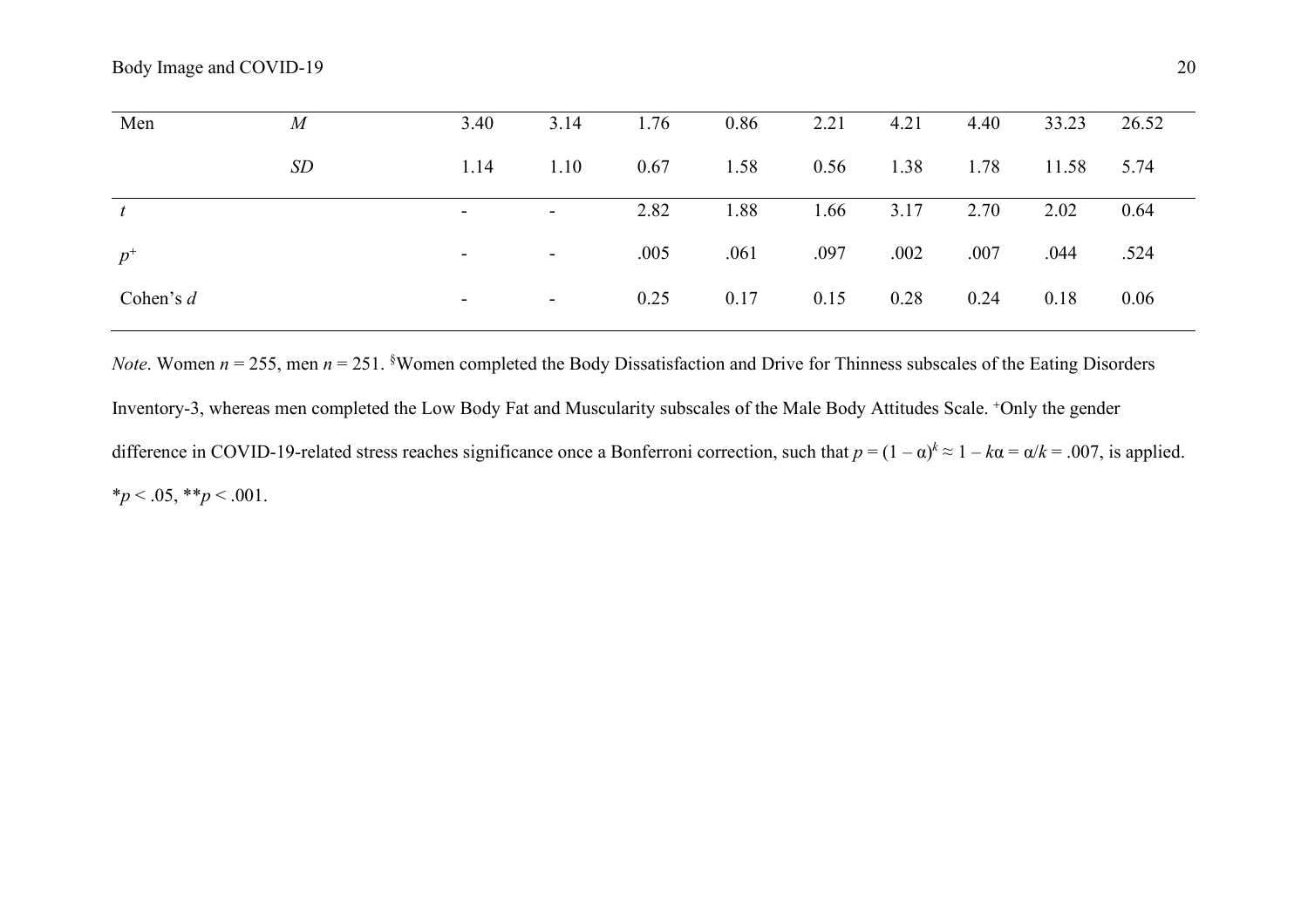| Men         | $\overline{M}$ | 3.40                     | 3.14                     | 1.76 | 0.86 | 2.21 | 4.21 | 4.40 | 33.23 | 26.52 |
|-------------|----------------|--------------------------|--------------------------|------|------|------|------|------|-------|-------|
|             | <b>SD</b>      | 1.14                     | 1.10                     | 0.67 | 1.58 | 0.56 | 1.38 | 1.78 | 11.58 | 5.74  |
| t           |                | $\blacksquare$           | $\overline{\phantom{a}}$ | 2.82 | 1.88 | 1.66 | 3.17 | 2.70 | 2.02  | 0.64  |
| $p^+$       |                | $\sim$                   | $\sim$                   | .005 | .061 | .097 | .002 | .007 | .044  | .524  |
| Cohen's $d$ |                | $\overline{\phantom{a}}$ | $\sim$                   | 0.25 | 0.17 | 0.15 | 0.28 | 0.24 | 0.18  | 0.06  |

*Note*. Women  $n = 255$ , men  $n = 251$ . <sup>§</sup>Women completed the Body Dissatisfaction and Drive for Thinness subscales of the Eating Disorders

Inventory-3, whereas men completed the Low Body Fat and Muscularity subscales of the Male Body Attitudes Scale. <sup>+</sup>Only the gender difference in COVID-19-related stress reaches significance once a Bonferroni correction, such that  $p = (1 - \alpha)^k \approx 1 - k\alpha = \alpha/k = .007$ , is applied.  $*_{p}$  < .05,  $*_{p}$  < .001.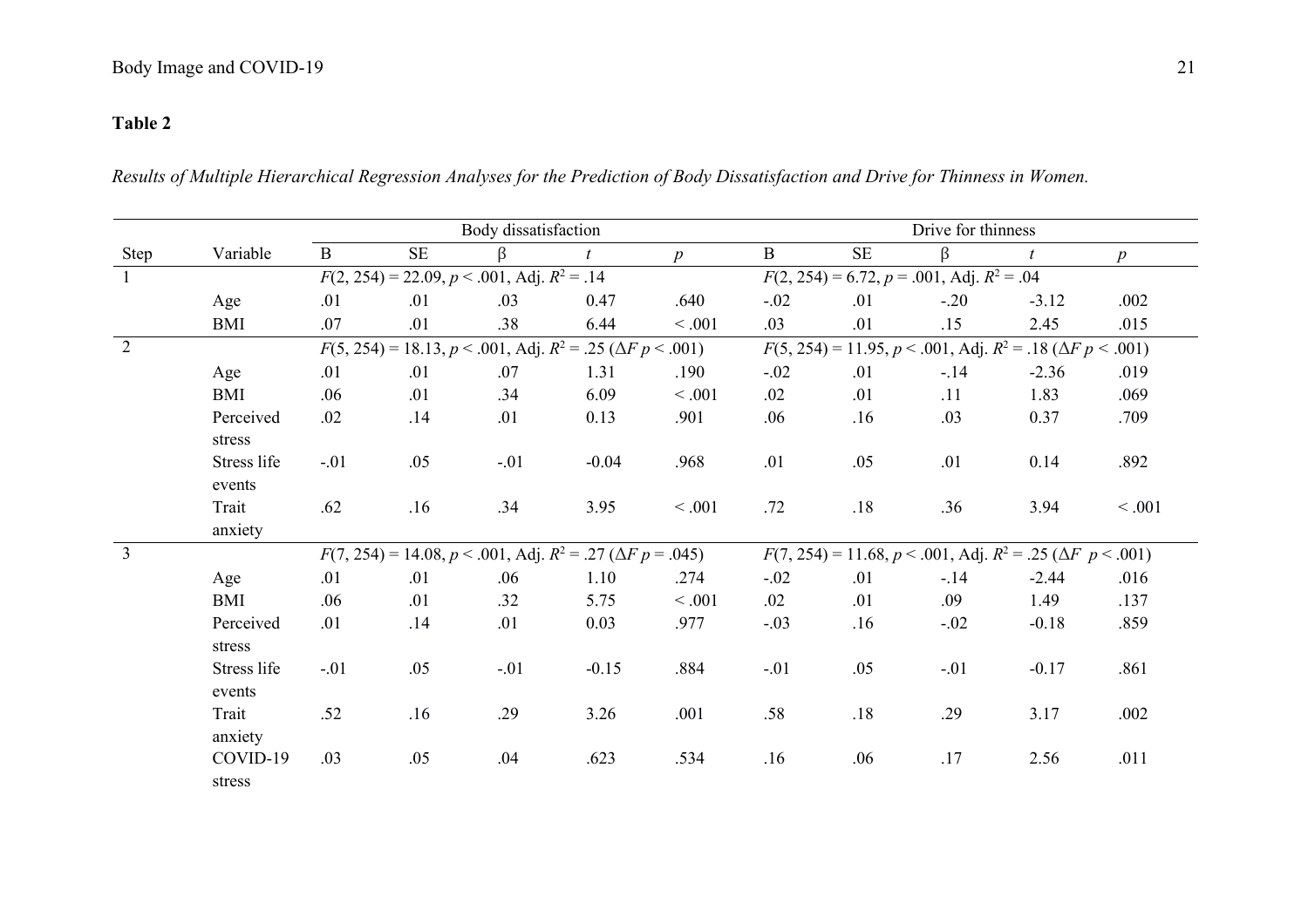# **Table 2**

*Results of Multiple Hierarchical Regression Analyses for the Prediction of Body Dissatisfaction and Drive for Thinness in Women.*

|                |             |              |     | Body dissatisfaction                                 |                                                                               |                 | Drive for thinness                                                            |          |                                                     |                                                                              |                  |  |
|----------------|-------------|--------------|-----|------------------------------------------------------|-------------------------------------------------------------------------------|-----------------|-------------------------------------------------------------------------------|----------|-----------------------------------------------------|------------------------------------------------------------------------------|------------------|--|
| Step           | Variable    | $\mathbf{B}$ | SE  | ß                                                    |                                                                               | $p_{\parallel}$ | $\mathbf B$                                                                   | $\rm SE$ | β                                                   | t                                                                            | $\boldsymbol{p}$ |  |
|                |             |              |     | $F(2, 254) = 22.09, p < .001, \text{Adj}. R^2 = .14$ |                                                                               |                 |                                                                               |          | $F(2, 254) = 6.72, p = .001, \text{Adj}. R^2 = .04$ |                                                                              |                  |  |
|                | Age         | .01          | .01 | .03                                                  | 0.47                                                                          | .640            | $-.02$                                                                        | .01      | $-.20$                                              | $-3.12$                                                                      | .002             |  |
|                | BMI         | .07          | .01 | .38                                                  | 6.44                                                                          | < .001          | .03                                                                           | .01      | .15                                                 | 2.45                                                                         | .015             |  |
| 2              |             |              |     |                                                      | $F(5, 254) = 18.13, p < .001, \text{Adj. } R^2 = .25 \ (\Delta F \ p < .001)$ |                 |                                                                               |          |                                                     | $F(5, 254) = 11.95, p < .001, \text{Adj}. R^2 = .18 \ (\Delta F \ p < .001)$ |                  |  |
|                | Age         | .01          | .01 | .07                                                  | 1.31                                                                          | .190            | $-.02$                                                                        | .01      | $-.14$                                              | $-2.36$                                                                      | .019             |  |
|                | BMI         | .06          | .01 | .34                                                  | 6.09                                                                          | < .001          | .02                                                                           | .01      | .11                                                 | 1.83                                                                         | .069             |  |
|                | Perceived   | .02          | .14 | .01                                                  | 0.13                                                                          | .901            | .06                                                                           | .16      | .03                                                 | 0.37                                                                         | .709             |  |
|                | stress      |              |     |                                                      |                                                                               |                 |                                                                               |          |                                                     |                                                                              |                  |  |
|                | Stress life | $-.01$       | .05 | $-.01$                                               | $-0.04$                                                                       | .968            | .01                                                                           | .05      | .01                                                 | 0.14                                                                         | .892             |  |
|                | events      |              |     |                                                      |                                                                               |                 |                                                                               |          |                                                     |                                                                              |                  |  |
|                | Trait       | .62          | .16 | .34                                                  | 3.95                                                                          | < .001          | .72                                                                           | .18      | .36                                                 | 3.94                                                                         | < 0.001          |  |
|                | anxiety     |              |     |                                                      |                                                                               |                 |                                                                               |          |                                                     |                                                                              |                  |  |
| $\overline{3}$ |             |              |     |                                                      | $F(7, 254) = 14.08, p < .001, \text{Adj}. R^2 = .27 \ (\Delta F \ p = .045)$  |                 | $F(7, 254) = 11.68, p < .001, \text{Adj. } R^2 = .25 \ (\Delta F \ p < .001)$ |          |                                                     |                                                                              |                  |  |
|                | Age         | .01          | .01 | .06                                                  | 1.10                                                                          | .274            | $-.02$                                                                        | .01      | $-14$                                               | $-2.44$                                                                      | .016             |  |
|                | BMI         | .06          | .01 | .32                                                  | 5.75                                                                          | < .001          | .02                                                                           | .01      | .09                                                 | 1.49                                                                         | .137             |  |
|                | Perceived   | .01          | .14 | .01                                                  | 0.03                                                                          | .977            | $-.03$                                                                        | .16      | $-.02$                                              | $-0.18$                                                                      | .859             |  |
|                | stress      |              |     |                                                      |                                                                               |                 |                                                                               |          |                                                     |                                                                              |                  |  |
|                | Stress life | $-.01$       | .05 | $-.01$                                               | $-0.15$                                                                       | .884            | $-.01$                                                                        | .05      | $-.01$                                              | $-0.17$                                                                      | .861             |  |
|                | events      |              |     |                                                      |                                                                               |                 |                                                                               |          |                                                     |                                                                              |                  |  |
|                | Trait       | .52          | .16 | .29                                                  | 3.26                                                                          | .001            | .58                                                                           | $.18\,$  | .29                                                 | 3.17                                                                         | .002             |  |
|                | anxiety     |              |     |                                                      |                                                                               |                 |                                                                               |          |                                                     |                                                                              |                  |  |
|                | COVID-19    | .03          | .05 | .04                                                  | .623                                                                          | .534            | .16                                                                           | .06      | .17                                                 | 2.56                                                                         | .011             |  |
|                | stress      |              |     |                                                      |                                                                               |                 |                                                                               |          |                                                     |                                                                              |                  |  |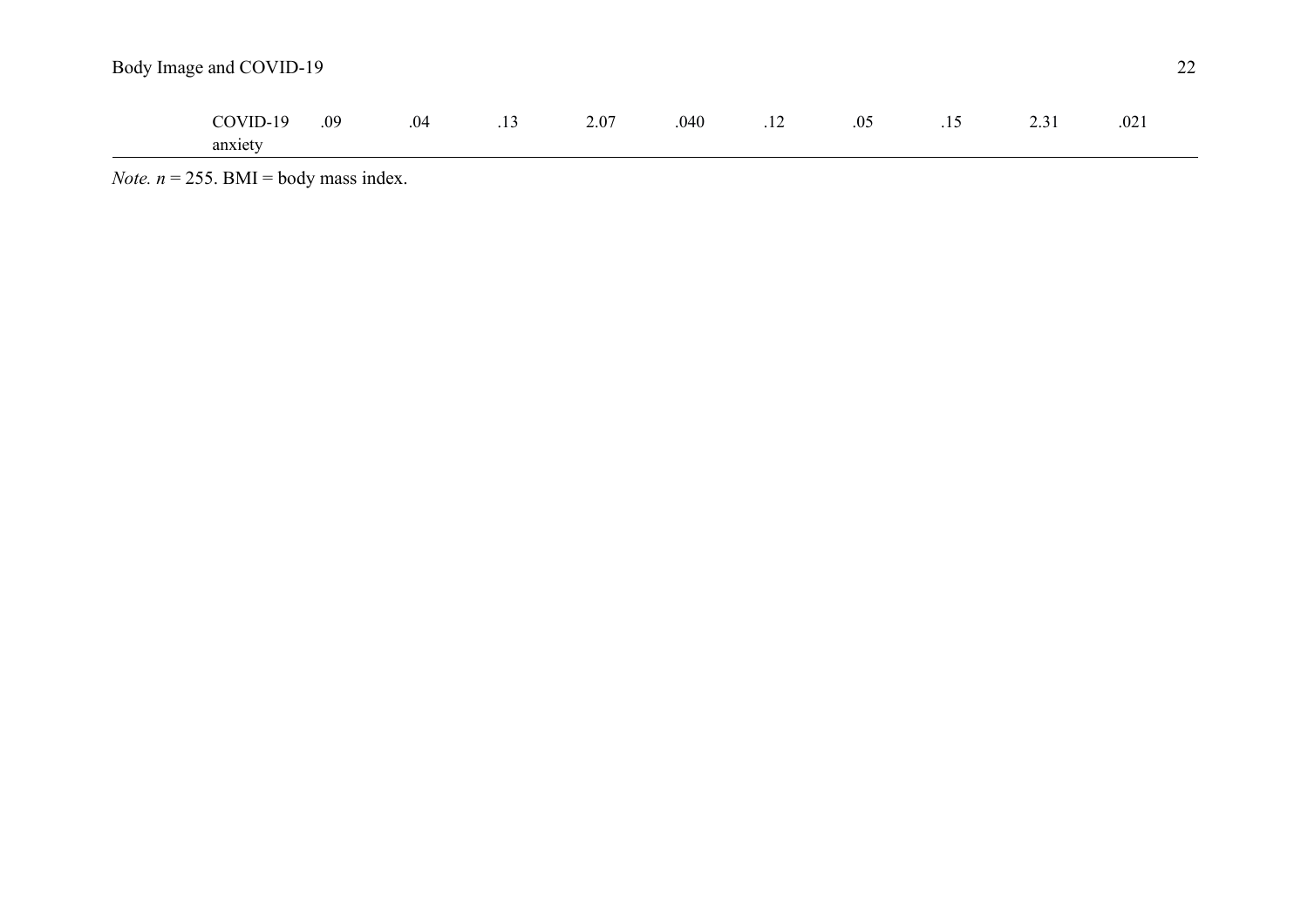| Body Image and COVID-19 |     |     |     |      |      |     |     |     |      |      |
|-------------------------|-----|-----|-----|------|------|-----|-----|-----|------|------|
| COVID-19<br>anxiety     | .09 | .04 | .13 | 2.07 | .040 | .12 | .05 | .15 | 2.31 | .021 |

*Note.*  $n = 255$ . BMI = body mass index.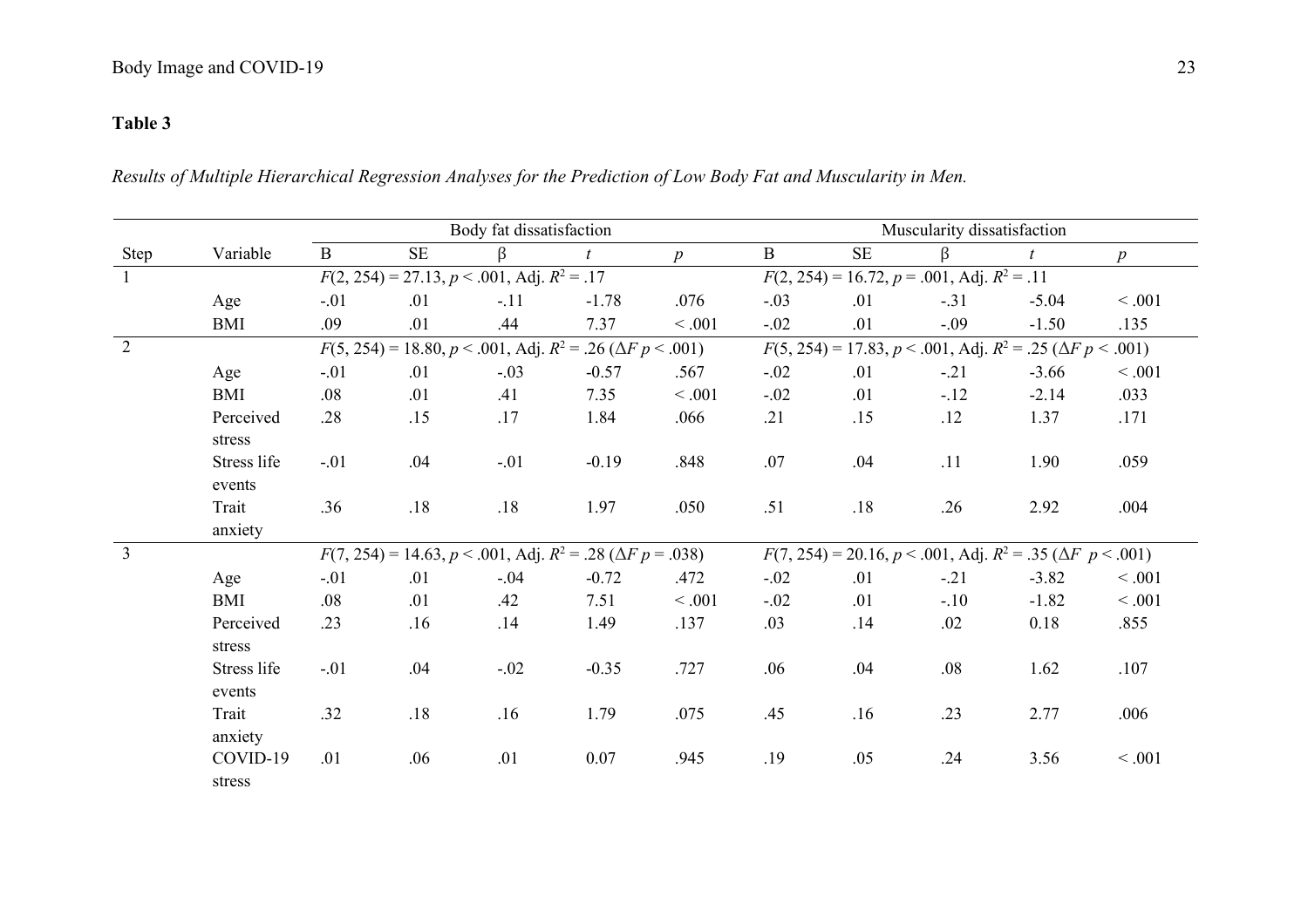# **Table 3**

*Results of Multiple Hierarchical Regression Analyses for the Prediction of Low Body Fat and Muscularity in Men.*

|                |             |              |           | Body fat dissatisfaction                             |                                                                               |         | Muscularity dissatisfaction                                                  |                                                                              |        |         |                  |  |  |  |
|----------------|-------------|--------------|-----------|------------------------------------------------------|-------------------------------------------------------------------------------|---------|------------------------------------------------------------------------------|------------------------------------------------------------------------------|--------|---------|------------------|--|--|--|
| Step           | Variable    | $\mathbf{B}$ | <b>SE</b> | β                                                    |                                                                               | p       | $\mathbf{B}$                                                                 | $\rm SE$                                                                     | β      | t       | $\boldsymbol{p}$ |  |  |  |
| $\overline{1}$ |             |              |           | $F(2, 254) = 27.13, p < .001, \text{Adj}. R^2 = .17$ |                                                                               |         |                                                                              | $F(2, 254) = 16.72, p = .001, \text{Adj}. R^2 = .11$                         |        |         |                  |  |  |  |
|                | Age         | $-.01$       | .01       | $-.11$                                               | $-1.78$                                                                       | .076    | $-.03$                                                                       | .01                                                                          | $-.31$ | $-5.04$ | $<.001$          |  |  |  |
|                | <b>BMI</b>  | .09          | .01       | .44                                                  | 7.37                                                                          | < .001  | $-.02$                                                                       | .01                                                                          | $-.09$ | $-1.50$ | .135             |  |  |  |
| 2              |             |              |           |                                                      | $F(5, 254) = 18.80, p < .001,$ Adj. $R^2 = .26$ ( $\Delta F p < .001$ )       |         |                                                                              | $F(5, 254) = 17.83, p < .001, \text{Adj}. R^2 = .25 \ (\Delta F \ p < .001)$ |        |         |                  |  |  |  |
|                | Age         | $-.01$       | .01       | $-.03$                                               | $-0.57$                                                                       | .567    | $-.02$                                                                       | .01                                                                          | $-.21$ | $-3.66$ | < .001           |  |  |  |
|                | <b>BMI</b>  | .08          | .01       | .41                                                  | 7.35                                                                          | < .001  | $-.02$                                                                       | .01                                                                          | $-.12$ | $-2.14$ | .033             |  |  |  |
|                | Perceived   | .28          | .15       | .17                                                  | 1.84                                                                          | .066    | .21                                                                          | .15                                                                          | .12    | 1.37    | .171             |  |  |  |
|                | stress      |              |           |                                                      |                                                                               |         |                                                                              |                                                                              |        |         |                  |  |  |  |
|                | Stress life | $-.01$       | .04       | $-.01$                                               | $-0.19$                                                                       | .848    | .07                                                                          | .04                                                                          | .11    | 1.90    | .059             |  |  |  |
|                | events      |              |           |                                                      |                                                                               |         |                                                                              |                                                                              |        |         |                  |  |  |  |
|                | Trait       | .36          | .18       | .18                                                  | 1.97                                                                          | .050    | .51                                                                          | .18                                                                          | .26    | 2.92    | .004             |  |  |  |
|                | anxiety     |              |           |                                                      |                                                                               |         |                                                                              |                                                                              |        |         |                  |  |  |  |
| $\overline{3}$ |             |              |           |                                                      | $F(7, 254) = 14.63, p < .001, \text{Adj. } R^2 = .28 \ (\Delta F \ p = .038)$ |         | $F(7, 254) = 20.16, p < .001, \text{Adj}. R^2 = .35 \ (\Delta F \ p < .001)$ |                                                                              |        |         |                  |  |  |  |
|                | Age         | $-.01$       | .01       | $-.04$                                               | $-0.72$                                                                       | .472    | $-.02$                                                                       | .01                                                                          | $-.21$ | $-3.82$ | < .001           |  |  |  |
|                | <b>BMI</b>  | .08          | .01       | .42                                                  | 7.51                                                                          | < 0.001 | $-.02$                                                                       | .01                                                                          | $-.10$ | $-1.82$ | < .001           |  |  |  |
|                | Perceived   | .23          | .16       | .14                                                  | 1.49                                                                          | .137    | .03                                                                          | .14                                                                          | .02    | 0.18    | .855             |  |  |  |
|                | stress      |              |           |                                                      |                                                                               |         |                                                                              |                                                                              |        |         |                  |  |  |  |
|                | Stress life | $-.01$       | .04       | $-.02$                                               | $-0.35$                                                                       | .727    | .06                                                                          | .04                                                                          | .08    | 1.62    | .107             |  |  |  |
|                | events      |              |           |                                                      |                                                                               |         |                                                                              |                                                                              |        |         |                  |  |  |  |
|                | Trait       | .32          | .18       | .16                                                  | 1.79                                                                          | .075    | .45                                                                          | .16                                                                          | .23    | 2.77    | .006             |  |  |  |
|                | anxiety     |              |           |                                                      |                                                                               |         |                                                                              |                                                                              |        |         |                  |  |  |  |
|                | COVID-19    | .01          | .06       | .01                                                  | 0.07                                                                          | .945    | .19                                                                          | .05                                                                          | .24    | 3.56    | < .001           |  |  |  |
|                | stress      |              |           |                                                      |                                                                               |         |                                                                              |                                                                              |        |         |                  |  |  |  |